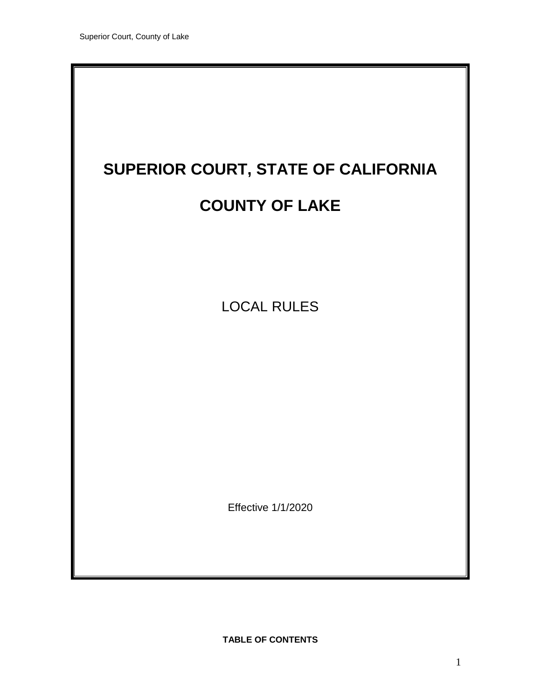

**TABLE OF CONTENTS**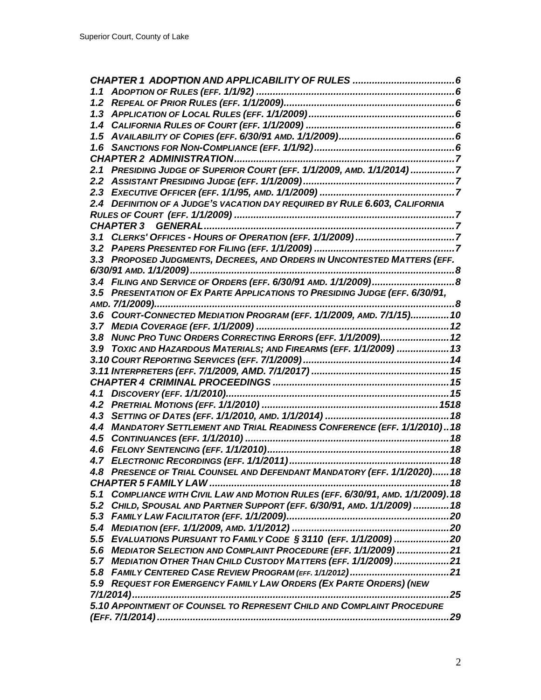|     | 2.1 PRESIDING JUDGE OF SUPERIOR COURT (EFF. 1/1/2009, AMD. 1/1/2014) 7           |      |
|-----|----------------------------------------------------------------------------------|------|
|     |                                                                                  |      |
|     |                                                                                  |      |
|     | 2.4 DEFINITION OF A JUDGE'S VACATION DAY REQUIRED BY RULE 6.603, CALIFORNIA      |      |
|     |                                                                                  |      |
|     |                                                                                  |      |
|     |                                                                                  |      |
|     |                                                                                  |      |
|     | 3.3 PROPOSED JUDGMENTS, DECREES, AND ORDERS IN UNCONTESTED MATTERS (EFF.         |      |
|     |                                                                                  |      |
|     |                                                                                  |      |
|     | 3.5 PRESENTATION OF EX PARTE APPLICATIONS TO PRESIDING JUDGE (EFF. 6/30/91,      |      |
|     |                                                                                  |      |
|     | 3.6 COURT-CONNECTED MEDIATION PROGRAM (EFF. 1/1/2009, AMD. 7/1/15) 10            |      |
|     |                                                                                  |      |
|     | 3.8 NUNC PRO TUNC ORDERS CORRECTING ERRORS (EFF. 1/1/2009) 12                    |      |
|     | 3.9 TOXIC AND HAZARDOUS MATERIALS; AND FIREARMS (EFF. 1/1/2009)  13              |      |
|     |                                                                                  |      |
|     |                                                                                  |      |
|     |                                                                                  |      |
|     |                                                                                  |      |
|     |                                                                                  |      |
|     |                                                                                  |      |
|     | 4.4 MANDATORY SETTLEMENT AND TRIAL READINESS CONFERENCE (EFF. 1/1/2010)18        |      |
| 4.5 |                                                                                  |      |
|     |                                                                                  |      |
|     |                                                                                  |      |
|     | PRESENCE OF TRIAL COUNSEL AND DEFENDANT MANDATORY (EFF. 1/1/2020) 18             |      |
|     |                                                                                  |      |
|     | 5.1 COMPLIANCE WITH CIVIL LAW AND MOTION RULES (EFF. 6/30/91, AMD. 1/1/2009). 18 |      |
|     | 5.2 CHILD, SPOUSAL AND PARTNER SUPPORT (EFF. 6/30/91, AMD. 1/1/2009)  18         |      |
|     |                                                                                  |      |
|     |                                                                                  |      |
|     | 5.5 EVALUATIONS PURSUANT TO FAMILY CODE § 3110 (EFF. 1/1/2009) 20                |      |
|     | 5.6 MEDIATOR SELECTION AND COMPLAINT PROCEDURE (EFF. 1/1/2009) 21                |      |
|     | 5.7 MEDIATION OTHER THAN CHILD CUSTODY MATTERS (EFF. 1/1/2009)21                 |      |
|     |                                                                                  |      |
|     | 5.9 REQUEST FOR EMERGENCY FAMILY LAW ORDERS (EX PARTE ORDERS) (NEW               |      |
|     |                                                                                  | . 25 |
|     | 5.10 APPOINTMENT OF COUNSEL TO REPRESENT CHILD AND COMPLAINT PROCEDURE           |      |
|     |                                                                                  |      |
|     |                                                                                  |      |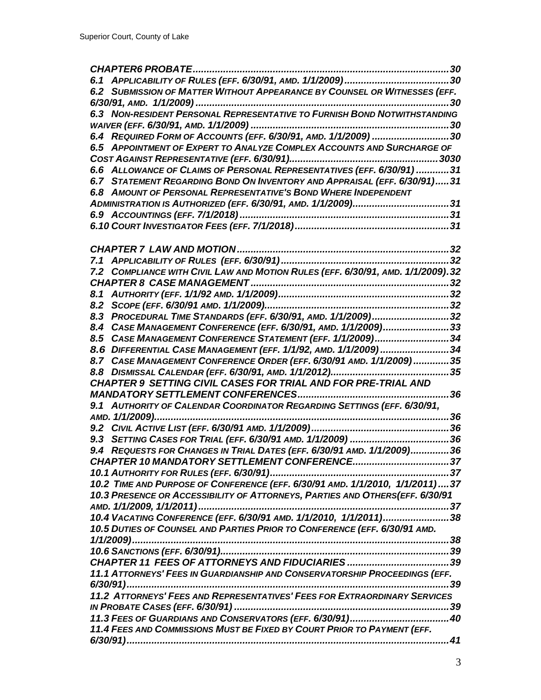| 6.2 SUBMISSION OF MATTER WITHOUT APPEARANCE BY COUNSEL OR WITNESSES (EFF.       |  |
|---------------------------------------------------------------------------------|--|
|                                                                                 |  |
| 6.3 NON-RESIDENT PERSONAL REPRESENTATIVE TO FURNISH BOND NOTWITHSTANDING        |  |
|                                                                                 |  |
| 6.4 REQUIRED FORM OF ACCOUNTS (EFF. 6/30/91, AMD. 1/1/2009) 30                  |  |
| 6.5 APPOINTMENT OF EXPERT TO ANALYZE COMPLEX ACCOUNTS AND SURCHARGE OF          |  |
|                                                                                 |  |
| 6.6 ALLOWANCE OF CLAIMS OF PERSONAL REPRESENTATIVES (EFF. 6/30/91) 31           |  |
| 6.7 STATEMENT REGARDING BOND ON INVENTORY AND APPRAISAL (EFF. 6/30/91)31        |  |
| 6.8 AMOUNT OF PERSONAL REPRESENTATIVE'S BOND WHERE INDEPENDENT                  |  |
|                                                                                 |  |
|                                                                                 |  |
|                                                                                 |  |
|                                                                                 |  |
|                                                                                 |  |
|                                                                                 |  |
| 7.2 COMPLIANCE WITH CIVIL LAW AND MOTION RULES (EFF. 6/30/91, AMD. 1/1/2009).32 |  |
|                                                                                 |  |
|                                                                                 |  |
|                                                                                 |  |
| 8.3 PROCEDURAL TIME STANDARDS (EFF. 6/30/91, AMD. 1/1/2009)32                   |  |
| 8.4 CASE MANAGEMENT CONFERENCE (EFF. 6/30/91, AMD. 1/1/2009)33                  |  |
| 8.5 CASE MANAGEMENT CONFERENCE STATEMENT (EFF. 1/1/2009)34                      |  |
| 8.6 DIFFERENTIAL CASE MANAGEMENT (EFF. 1/1/92, AMD. 1/1/2009) 34                |  |
| 8.7 CASE MANAGEMENT CONFERENCE ORDER (EFF. 6/30/91 AMD. 1/1/2009)35             |  |
|                                                                                 |  |
| <b>CHAPTER 9 SETTING CIVIL CASES FOR TRIAL AND FOR PRE-TRIAL AND</b>            |  |
|                                                                                 |  |
| 9.1 AUTHORITY OF CALENDAR COORDINATOR REGARDING SETTINGS (EFF. 6/30/91,         |  |
|                                                                                 |  |
|                                                                                 |  |
|                                                                                 |  |
| 9.4 REQUESTS FOR CHANGES IN TRIAL DATES (EFF. 6/30/91 AMD. 1/1/2009)36          |  |
|                                                                                 |  |
|                                                                                 |  |
| 10.2 TIME AND PURPOSE OF CONFERENCE (EFF. 6/30/91 AMD. 1/1/2010, 1/1/2011)37    |  |
| 10.3 PRESENCE OR ACCESSIBILITY OF ATTORNEYS, PARTIES AND OTHERS(EFF. 6/30/91    |  |
|                                                                                 |  |
| 10.4 VACATING CONFERENCE (EFF. 6/30/91 AMD. 1/1/2010, 1/1/2011)38               |  |
| 10.5 DUTIES OF COUNSEL AND PARTIES PRIOR TO CONFERENCE (EFF. 6/30/91 AMD.       |  |
|                                                                                 |  |
|                                                                                 |  |
|                                                                                 |  |
| 11.1 ATTORNEYS' FEES IN GUARDIANSHIP AND CONSERVATORSHIP PROCEEDINGS (EFF.      |  |
|                                                                                 |  |
| 11.2 ATTORNEYS' FEES AND REPRESENTATIVES' FEES FOR EXTRAORDINARY SERVICES       |  |
|                                                                                 |  |
|                                                                                 |  |
| 11.4 FEES AND COMMISSIONS MUST BE FIXED BY COURT PRIOR TO PAYMENT (EFF.         |  |
|                                                                                 |  |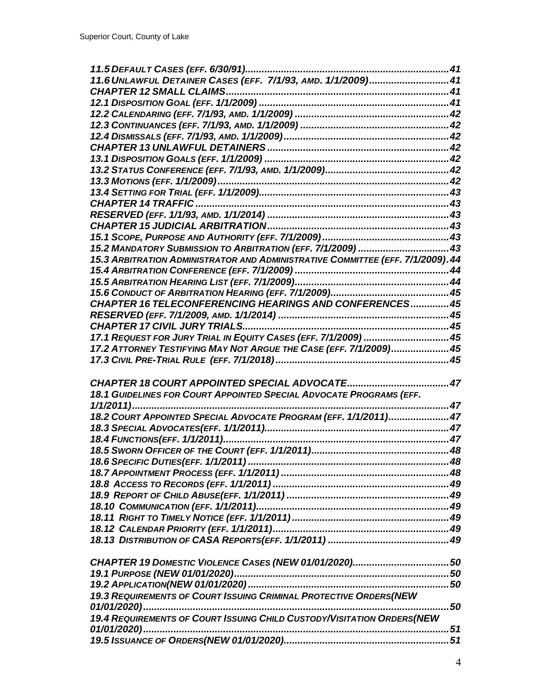| 11.6 UNLAWFUL DETAINER CASES (EFF. 7/1/93, AMD. 1/1/2009) 41                    |  |
|---------------------------------------------------------------------------------|--|
|                                                                                 |  |
|                                                                                 |  |
|                                                                                 |  |
|                                                                                 |  |
|                                                                                 |  |
|                                                                                 |  |
|                                                                                 |  |
|                                                                                 |  |
|                                                                                 |  |
|                                                                                 |  |
|                                                                                 |  |
|                                                                                 |  |
|                                                                                 |  |
|                                                                                 |  |
| 15.2 MANDATORY SUBMISSION TO ARBITRATION (EFF. 7/1/2009)  43                    |  |
| 15.3 ARBITRATION ADMINISTRATOR AND ADMINISTRATIVE COMMITTEE (EFF. 7/1/2009). 44 |  |
|                                                                                 |  |
|                                                                                 |  |
|                                                                                 |  |
| CHAPTER 16 TELECONFERENCING HEARINGS AND CONFERENCES 45                         |  |
|                                                                                 |  |
|                                                                                 |  |
| 17.1 REQUEST FOR JURY TRIAL IN EQUITY CASES (EFF. 7/1/2009)  45                 |  |
| 17.2 ATTORNEY TESTIFYING MAY NOT ARGUE THE CASE (EFF. 7/1/2009) 45              |  |
|                                                                                 |  |
|                                                                                 |  |
|                                                                                 |  |
| 18.1 GUIDELINES FOR COURT APPOINTED SPECIAL ADVOCATE PROGRAMS (EFF.             |  |
|                                                                                 |  |
| 18.2 COURT APPOINTED SPECIAL ADVOCATE PROGRAM (EFF. 1/1/2011) 47                |  |
|                                                                                 |  |
|                                                                                 |  |
|                                                                                 |  |
|                                                                                 |  |
|                                                                                 |  |
|                                                                                 |  |
|                                                                                 |  |
|                                                                                 |  |
|                                                                                 |  |
|                                                                                 |  |
|                                                                                 |  |
|                                                                                 |  |
|                                                                                 |  |
|                                                                                 |  |
|                                                                                 |  |
| 19.3 REQUIREMENTS OF COURT ISSUING CRIMINAL PROTECTIVE ORDERS(NEW               |  |
|                                                                                 |  |
| 19.4 REQUIREMENTS OF COURT ISSUING CHILD CUSTODY/VISITATION ORDERS(NEW          |  |
|                                                                                 |  |
|                                                                                 |  |
|                                                                                 |  |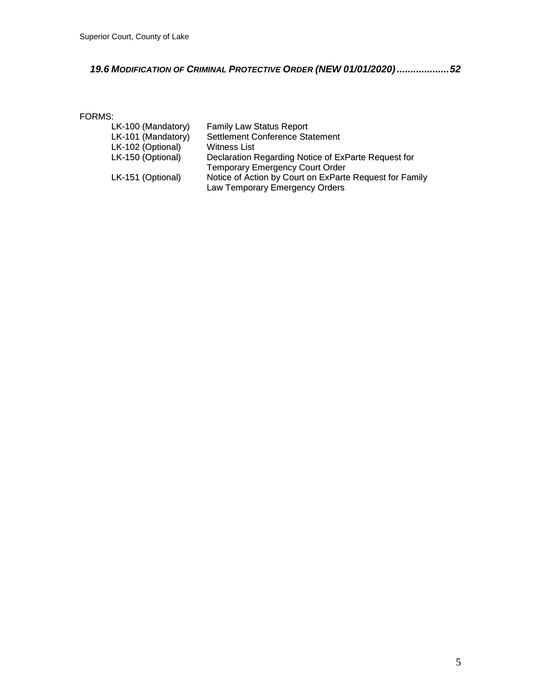# *19.6 MODIFICATION OF CRIMINAL PROTECTIVE ORDER (NEW [01/01/2020\)...................52](#page-46-2)*

### FORMS:

| LK-100 (Mandatory) | <b>Family Law Status Report</b>                         |
|--------------------|---------------------------------------------------------|
| LK-101 (Mandatory) | <b>Settlement Conference Statement</b>                  |
| LK-102 (Optional)  | Witness List                                            |
| LK-150 (Optional)  | Declaration Regarding Notice of ExParte Request for     |
|                    | <b>Temporary Emergency Court Order</b>                  |
| LK-151 (Optional)  | Notice of Action by Court on ExParte Request for Family |
|                    | Law Temporary Emergency Orders                          |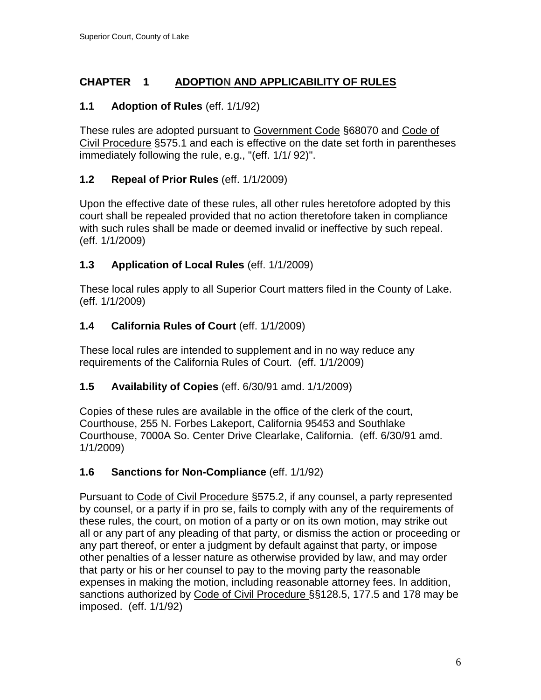# <span id="page-5-0"></span>**CHAPTER 1 ADOPTION AND APPLICABILITY OF RULES**

# <span id="page-5-1"></span>**1.1 Adoption of Rules** (eff. 1/1/92)

These rules are adopted pursuant to Government Code §68070 and Code of Civil Procedure §575.1 and each is effective on the date set forth in parentheses immediately following the rule, e.g., "(eff. 1/1/ 92)".

# <span id="page-5-2"></span>**1.2 Repeal of Prior Rules** (eff. 1/1/2009)

Upon the effective date of these rules, all other rules heretofore adopted by this court shall be repealed provided that no action theretofore taken in compliance with such rules shall be made or deemed invalid or ineffective by such repeal. (eff. 1/1/2009)

# <span id="page-5-3"></span>**1.3 Application of Local Rules** (eff. 1/1/2009)

These local rules apply to all Superior Court matters filed in the County of Lake. (eff. 1/1/2009)

# <span id="page-5-4"></span>**1.4 California Rules of Court** (eff. 1/1/2009)

These local rules are intended to supplement and in no way reduce any requirements of the California Rules of Court. (eff. 1/1/2009)

# <span id="page-5-5"></span>**1.5 Availability of Copies** (eff. 6/30/91 amd. 1/1/2009)

Copies of these rules are available in the office of the clerk of the court, Courthouse, 255 N. Forbes Lakeport, California 95453 and Southlake Courthouse, 7000A So. Center Drive Clearlake, California. (eff. 6/30/91 amd. 1/1/2009)

# <span id="page-5-6"></span>**1.6 Sanctions for Non-Compliance** (eff. 1/1/92)

Pursuant to Code of Civil Procedure §575.2, if any counsel, a party represented by counsel, or a party if in pro se, fails to comply with any of the requirements of these rules, the court, on motion of a party or on its own motion, may strike out all or any part of any pleading of that party, or dismiss the action or proceeding or any part thereof, or enter a judgment by default against that party, or impose other penalties of a lesser nature as otherwise provided by law, and may order that party or his or her counsel to pay to the moving party the reasonable expenses in making the motion, including reasonable attorney fees. In addition, sanctions authorized by Code of Civil Procedure §§128.5, 177.5 and 178 may be imposed. (eff. 1/1/92)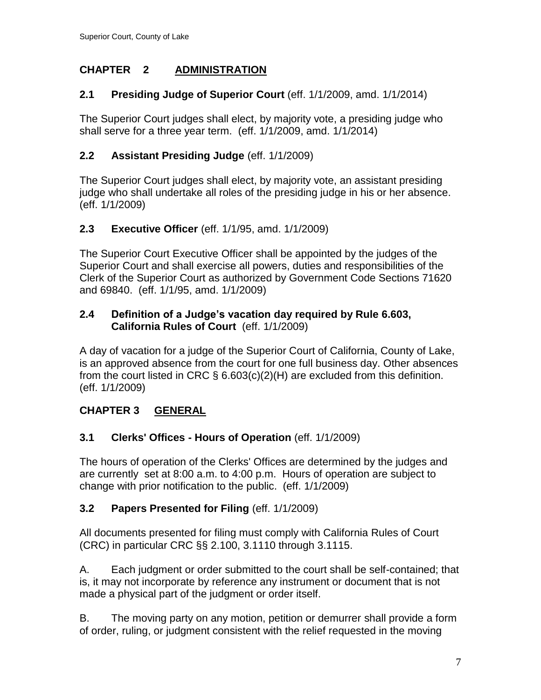# <span id="page-6-0"></span>**CHAPTER 2 ADMINISTRATION**

# <span id="page-6-1"></span>**2.1 Presiding Judge of Superior Court** (eff. 1/1/2009, amd. 1/1/2014)

The Superior Court judges shall elect, by majority vote, a presiding judge who shall serve for a three year term. (eff. 1/1/2009, amd. 1/1/2014)

# <span id="page-6-2"></span>**2.2 Assistant Presiding Judge** (eff. 1/1/2009)

The Superior Court judges shall elect, by majority vote, an assistant presiding judge who shall undertake all roles of the presiding judge in his or her absence. (eff. 1/1/2009)

# <span id="page-6-3"></span>**2.3 Executive Officer** (eff. 1/1/95, amd. 1/1/2009)

The Superior Court Executive Officer shall be appointed by the judges of the Superior Court and shall exercise all powers, duties and responsibilities of the Clerk of the Superior Court as authorized by Government Code Sections 71620 and 69840. (eff. 1/1/95, amd. 1/1/2009)

# <span id="page-6-4"></span>**2.4 Definition of a Judge's vacation day required by Rule 6.603, California Rules of Court** (eff. 1/1/2009)

A day of vacation for a judge of the Superior Court of California, County of Lake, is an approved absence from the court for one full business day. Other absences from the court listed in CRC  $\S$  6.603(c)(2)(H) are excluded from this definition. (eff. 1/1/2009)

# <span id="page-6-5"></span>**CHAPTER 3 GENERAL**

# <span id="page-6-6"></span>**3.1 Clerks' Offices - Hours of Operation** (eff. 1/1/2009)

The hours of operation of the Clerks' Offices are determined by the judges and are currently set at 8:00 a.m. to 4:00 p.m. Hours of operation are subject to change with prior notification to the public. (eff. 1/1/2009)

# <span id="page-6-7"></span>**3.2 Papers Presented for Filing** (eff. 1/1/2009)

All documents presented for filing must comply with California Rules of Court (CRC) in particular CRC §§ 2.100, 3.1110 through 3.1115.

A. Each judgment or order submitted to the court shall be self-contained; that is, it may not incorporate by reference any instrument or document that is not made a physical part of the judgment or order itself.

B. The moving party on any motion, petition or demurrer shall provide a form of order, ruling, or judgment consistent with the relief requested in the moving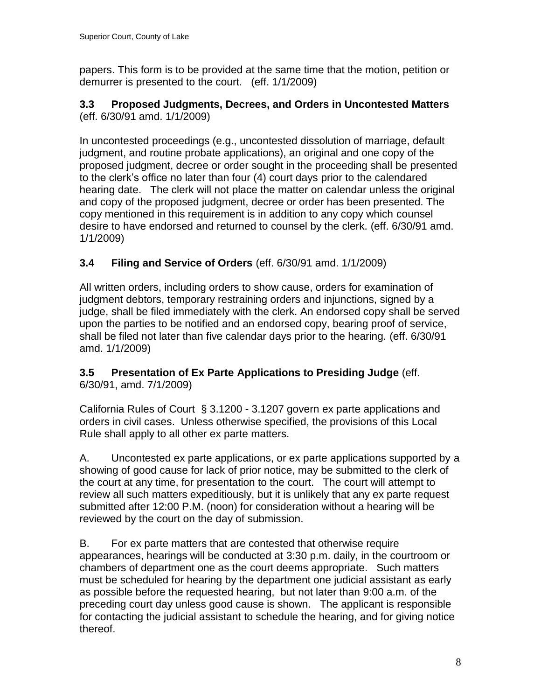papers. This form is to be provided at the same time that the motion, petition or demurrer is presented to the court. (eff. 1/1/2009)

### <span id="page-7-0"></span>**3.3 Proposed Judgments, Decrees, and Orders in Uncontested Matters**  (eff. 6/30/91 amd. 1/1/2009)

In uncontested proceedings (e.g., uncontested dissolution of marriage, default judgment, and routine probate applications), an original and one copy of the proposed judgment, decree or order sought in the proceeding shall be presented to the clerk's office no later than four (4) court days prior to the calendared hearing date. The clerk will not place the matter on calendar unless the original and copy of the proposed judgment, decree or order has been presented. The copy mentioned in this requirement is in addition to any copy which counsel desire to have endorsed and returned to counsel by the clerk. (eff. 6/30/91 amd. 1/1/2009)

# <span id="page-7-1"></span>**3.4 Filing and Service of Orders** (eff. 6/30/91 amd. 1/1/2009)

All written orders, including orders to show cause, orders for examination of judgment debtors, temporary restraining orders and injunctions, signed by a judge, shall be filed immediately with the clerk. An endorsed copy shall be served upon the parties to be notified and an endorsed copy, bearing proof of service, shall be filed not later than five calendar days prior to the hearing. (eff. 6/30/91 amd. 1/1/2009)

#### <span id="page-7-2"></span>**3.5 Presentation of Ex Parte Applications to Presiding Judge** (eff. 6/30/91, amd. 7/1/2009)

California Rules of Court § 3.1200 - 3.1207 govern ex parte applications and orders in civil cases. Unless otherwise specified, the provisions of this Local Rule shall apply to all other ex parte matters.

A. Uncontested ex parte applications, or ex parte applications supported by a showing of good cause for lack of prior notice, may be submitted to the clerk of the court at any time, for presentation to the court. The court will attempt to review all such matters expeditiously, but it is unlikely that any ex parte request submitted after 12:00 P.M. (noon) for consideration without a hearing will be reviewed by the court on the day of submission.

B. For ex parte matters that are contested that otherwise require appearances, hearings will be conducted at 3:30 p.m. daily, in the courtroom or chambers of department one as the court deems appropriate. Such matters must be scheduled for hearing by the department one judicial assistant as early as possible before the requested hearing, but not later than 9:00 a.m. of the preceding court day unless good cause is shown. The applicant is responsible for contacting the judicial assistant to schedule the hearing, and for giving notice thereof.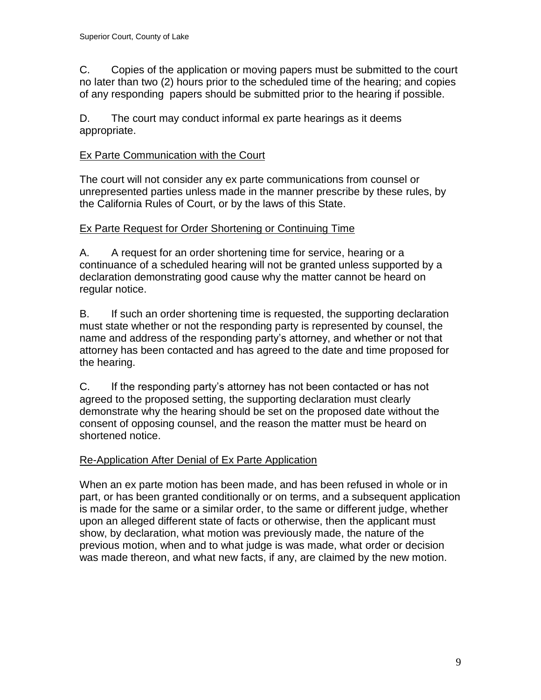C. Copies of the application or moving papers must be submitted to the court no later than two (2) hours prior to the scheduled time of the hearing; and copies of any responding papers should be submitted prior to the hearing if possible.

D. The court may conduct informal ex parte hearings as it deems appropriate.

# Ex Parte Communication with the Court

The court will not consider any ex parte communications from counsel or unrepresented parties unless made in the manner prescribe by these rules, by the California Rules of Court, or by the laws of this State.

# Ex Parte Request for Order Shortening or Continuing Time

A. A request for an order shortening time for service, hearing or a continuance of a scheduled hearing will not be granted unless supported by a declaration demonstrating good cause why the matter cannot be heard on regular notice.

B. If such an order shortening time is requested, the supporting declaration must state whether or not the responding party is represented by counsel, the name and address of the responding party's attorney, and whether or not that attorney has been contacted and has agreed to the date and time proposed for the hearing.

C. If the responding party's attorney has not been contacted or has not agreed to the proposed setting, the supporting declaration must clearly demonstrate why the hearing should be set on the proposed date without the consent of opposing counsel, and the reason the matter must be heard on shortened notice.

# Re-Application After Denial of Ex Parte Application

When an ex parte motion has been made, and has been refused in whole or in part, or has been granted conditionally or on terms, and a subsequent application is made for the same or a similar order, to the same or different judge, whether upon an alleged different state of facts or otherwise, then the applicant must show, by declaration, what motion was previously made, the nature of the previous motion, when and to what judge is was made, what order or decision was made thereon, and what new facts, if any, are claimed by the new motion.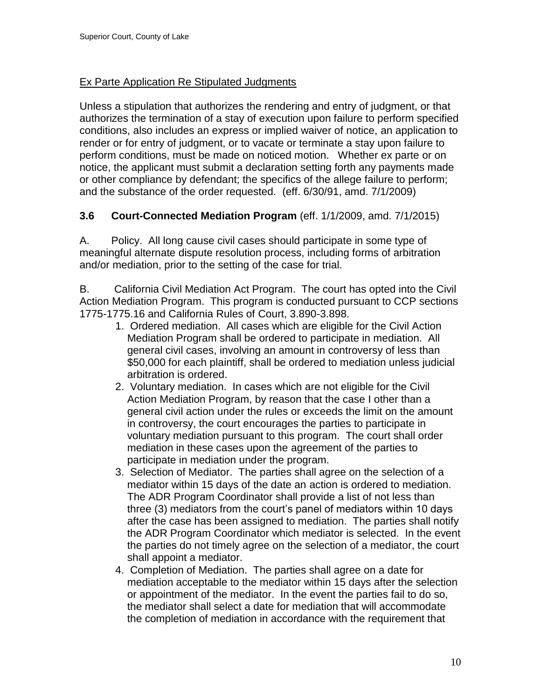# Ex Parte Application Re Stipulated Judgments

Unless a stipulation that authorizes the rendering and entry of judgment, or that authorizes the termination of a stay of execution upon failure to perform specified conditions, also includes an express or implied waiver of notice, an application to render or for entry of judgment, or to vacate or terminate a stay upon failure to perform conditions, must be made on noticed motion. Whether ex parte or on notice, the applicant must submit a declaration setting forth any payments made or other compliance by defendant; the specifics of the allege failure to perform; and the substance of the order requested. (eff. 6/30/91, amd. 7/1/2009)

# <span id="page-9-0"></span>**3.6 Court-Connected Mediation Program** (eff. 1/1/2009, amd. 7/1/2015)

A. Policy. All long cause civil cases should participate in some type of meaningful alternate dispute resolution process, including forms of arbitration and/or mediation, prior to the setting of the case for trial.

B. California Civil Mediation Act Program. The court has opted into the Civil Action Mediation Program. This program is conducted pursuant to CCP sections 1775-1775.16 and California Rules of Court, 3.890-3.898.

- 1. Ordered mediation. All cases which are eligible for the Civil Action Mediation Program shall be ordered to participate in mediation. All general civil cases, involving an amount in controversy of less than \$50,000 for each plaintiff, shall be ordered to mediation unless judicial arbitration is ordered.
- 2. Voluntary mediation. In cases which are not eligible for the Civil Action Mediation Program, by reason that the case I other than a general civil action under the rules or exceeds the limit on the amount in controversy, the court encourages the parties to participate in voluntary mediation pursuant to this program. The court shall order mediation in these cases upon the agreement of the parties to participate in mediation under the program.
- 3. Selection of Mediator. The parties shall agree on the selection of a mediator within 15 days of the date an action is ordered to mediation. The ADR Program Coordinator shall provide a list of not less than three (3) mediators from the court's panel of mediators within 10 days after the case has been assigned to mediation. The parties shall notify the ADR Program Coordinator which mediator is selected. In the event the parties do not timely agree on the selection of a mediator, the court shall appoint a mediator.
- 4. Completion of Mediation. The parties shall agree on a date for mediation acceptable to the mediator within 15 days after the selection or appointment of the mediator. In the event the parties fail to do so, the mediator shall select a date for mediation that will accommodate the completion of mediation in accordance with the requirement that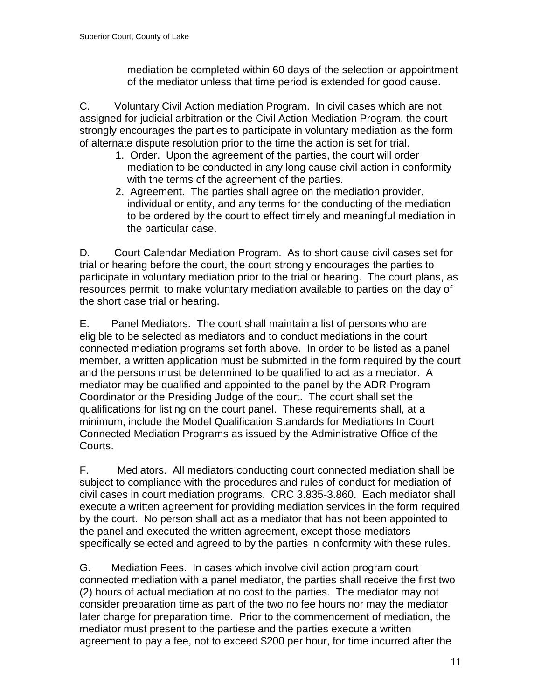mediation be completed within 60 days of the selection or appointment of the mediator unless that time period is extended for good cause.

C. Voluntary Civil Action mediation Program. In civil cases which are not assigned for judicial arbitration or the Civil Action Mediation Program, the court strongly encourages the parties to participate in voluntary mediation as the form of alternate dispute resolution prior to the time the action is set for trial.

- 1. Order. Upon the agreement of the parties, the court will order mediation to be conducted in any long cause civil action in conformity with the terms of the agreement of the parties.
- 2. Agreement. The parties shall agree on the mediation provider, individual or entity, and any terms for the conducting of the mediation to be ordered by the court to effect timely and meaningful mediation in the particular case.

D. Court Calendar Mediation Program. As to short cause civil cases set for trial or hearing before the court, the court strongly encourages the parties to participate in voluntary mediation prior to the trial or hearing. The court plans, as resources permit, to make voluntary mediation available to parties on the day of the short case trial or hearing.

E. Panel Mediators. The court shall maintain a list of persons who are eligible to be selected as mediators and to conduct mediations in the court connected mediation programs set forth above. In order to be listed as a panel member, a written application must be submitted in the form required by the court and the persons must be determined to be qualified to act as a mediator. A mediator may be qualified and appointed to the panel by the ADR Program Coordinator or the Presiding Judge of the court. The court shall set the qualifications for listing on the court panel. These requirements shall, at a minimum, include the Model Qualification Standards for Mediations In Court Connected Mediation Programs as issued by the Administrative Office of the Courts.

F. Mediators. All mediators conducting court connected mediation shall be subject to compliance with the procedures and rules of conduct for mediation of civil cases in court mediation programs. CRC 3.835-3.860. Each mediator shall execute a written agreement for providing mediation services in the form required by the court. No person shall act as a mediator that has not been appointed to the panel and executed the written agreement, except those mediators specifically selected and agreed to by the parties in conformity with these rules.

G. Mediation Fees. In cases which involve civil action program court connected mediation with a panel mediator, the parties shall receive the first two (2) hours of actual mediation at no cost to the parties. The mediator may not consider preparation time as part of the two no fee hours nor may the mediator later charge for preparation time. Prior to the commencement of mediation, the mediator must present to the partiese and the parties execute a written agreement to pay a fee, not to exceed \$200 per hour, for time incurred after the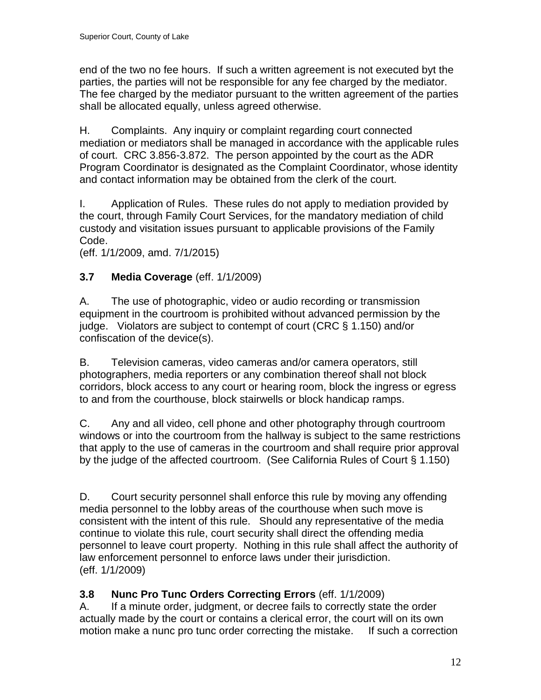end of the two no fee hours. If such a written agreement is not executed byt the parties, the parties will not be responsible for any fee charged by the mediator. The fee charged by the mediator pursuant to the written agreement of the parties shall be allocated equally, unless agreed otherwise.

H. Complaints. Any inquiry or complaint regarding court connected mediation or mediators shall be managed in accordance with the applicable rules of court. CRC 3.856-3.872. The person appointed by the court as the ADR Program Coordinator is designated as the Complaint Coordinator, whose identity and contact information may be obtained from the clerk of the court.

I. Application of Rules. These rules do not apply to mediation provided by the court, through Family Court Services, for the mandatory mediation of child custody and visitation issues pursuant to applicable provisions of the Family Code.

(eff. 1/1/2009, amd. 7/1/2015)

# <span id="page-11-0"></span>**3.7 Media Coverage** (eff. 1/1/2009)

A. The use of photographic, video or audio recording or transmission equipment in the courtroom is prohibited without advanced permission by the judge. Violators are subject to contempt of court (CRC § 1.150) and/or confiscation of the device(s).

B. Television cameras, video cameras and/or camera operators, still photographers, media reporters or any combination thereof shall not block corridors, block access to any court or hearing room, block the ingress or egress to and from the courthouse, block stairwells or block handicap ramps.

C. Any and all video, cell phone and other photography through courtroom windows or into the courtroom from the hallway is subject to the same restrictions that apply to the use of cameras in the courtroom and shall require prior approval by the judge of the affected courtroom. (See California Rules of Court § 1.150)

D. Court security personnel shall enforce this rule by moving any offending media personnel to the lobby areas of the courthouse when such move is consistent with the intent of this rule. Should any representative of the media continue to violate this rule, court security shall direct the offending media personnel to leave court property. Nothing in this rule shall affect the authority of law enforcement personnel to enforce laws under their jurisdiction. (eff. 1/1/2009)

# <span id="page-11-1"></span>**3.8 Nunc Pro Tunc Orders Correcting Errors** (eff. 1/1/2009)

A. If a minute order, judgment, or decree fails to correctly state the order actually made by the court or contains a clerical error, the court will on its own motion make a nunc pro tunc order correcting the mistake. If such a correction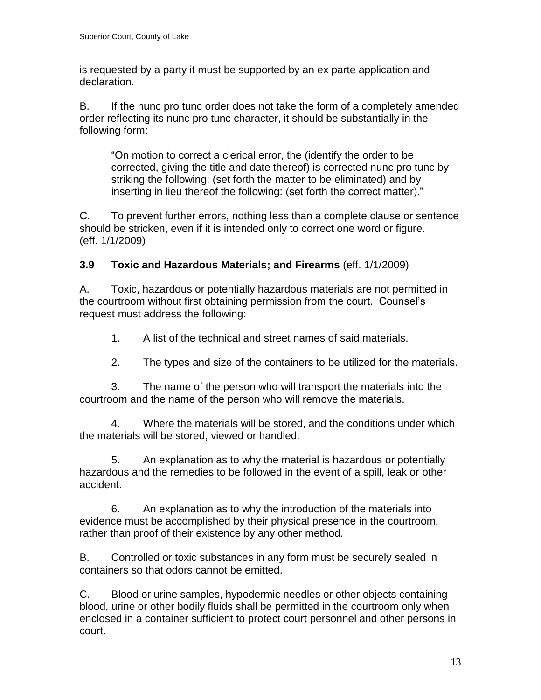is requested by a party it must be supported by an ex parte application and declaration.

B. If the nunc pro tunc order does not take the form of a completely amended order reflecting its nunc pro tunc character, it should be substantially in the following form:

"On motion to correct a clerical error, the (identify the order to be corrected, giving the title and date thereof) is corrected nunc pro tunc by striking the following: (set forth the matter to be eliminated) and by inserting in lieu thereof the following: (set forth the correct matter)."

C. To prevent further errors, nothing less than a complete clause or sentence should be stricken, even if it is intended only to correct one word or figure. (eff. 1/1/2009)

# <span id="page-12-0"></span>**3.9 Toxic and Hazardous Materials; and Firearms** (eff. 1/1/2009)

A. Toxic, hazardous or potentially hazardous materials are not permitted in the courtroom without first obtaining permission from the court. Counsel's request must address the following:

1. A list of the technical and street names of said materials.

2. The types and size of the containers to be utilized for the materials.

3. The name of the person who will transport the materials into the courtroom and the name of the person who will remove the materials.

4. Where the materials will be stored, and the conditions under which the materials will be stored, viewed or handled.

5. An explanation as to why the material is hazardous or potentially hazardous and the remedies to be followed in the event of a spill, leak or other accident.

6. An explanation as to why the introduction of the materials into evidence must be accomplished by their physical presence in the courtroom, rather than proof of their existence by any other method.

B. Controlled or toxic substances in any form must be securely sealed in containers so that odors cannot be emitted.

C. Blood or urine samples, hypodermic needles or other objects containing blood, urine or other bodily fluids shall be permitted in the courtroom only when enclosed in a container sufficient to protect court personnel and other persons in court.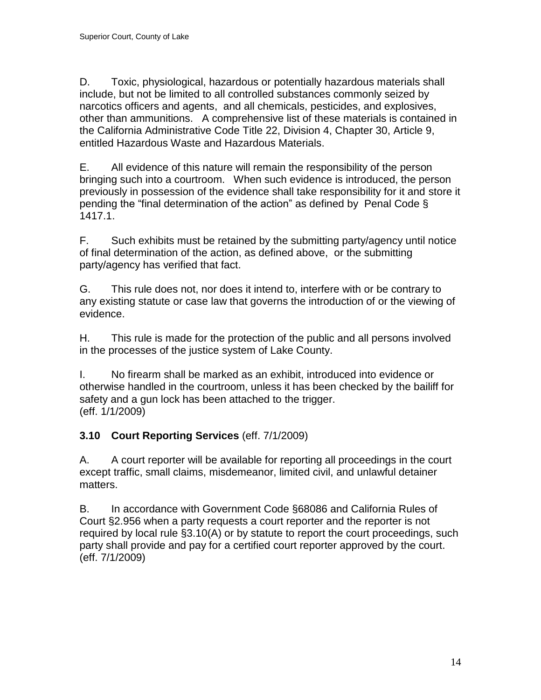D. Toxic, physiological, hazardous or potentially hazardous materials shall include, but not be limited to all controlled substances commonly seized by narcotics officers and agents, and all chemicals, pesticides, and explosives, other than ammunitions. A comprehensive list of these materials is contained in the California Administrative Code Title 22, Division 4, Chapter 30, Article 9, entitled Hazardous Waste and Hazardous Materials.

E. All evidence of this nature will remain the responsibility of the person bringing such into a courtroom. When such evidence is introduced, the person previously in possession of the evidence shall take responsibility for it and store it pending the "final determination of the action" as defined by Penal Code § 1417.1.

F. Such exhibits must be retained by the submitting party/agency until notice of final determination of the action, as defined above, or the submitting party/agency has verified that fact.

G. This rule does not, nor does it intend to, interfere with or be contrary to any existing statute or case law that governs the introduction of or the viewing of evidence.

H. This rule is made for the protection of the public and all persons involved in the processes of the justice system of Lake County.

I. No firearm shall be marked as an exhibit, introduced into evidence or otherwise handled in the courtroom, unless it has been checked by the bailiff for safety and a gun lock has been attached to the trigger. (eff. 1/1/2009)

# <span id="page-13-0"></span>**3.10 Court Reporting Services** (eff. 7/1/2009)

A. A court reporter will be available for reporting all proceedings in the court except traffic, small claims, misdemeanor, limited civil, and unlawful detainer matters.

B. In accordance with Government Code §68086 and California Rules of Court §2.956 when a party requests a court reporter and the reporter is not required by local rule §3.10(A) or by statute to report the court proceedings, such party shall provide and pay for a certified court reporter approved by the court. (eff. 7/1/2009)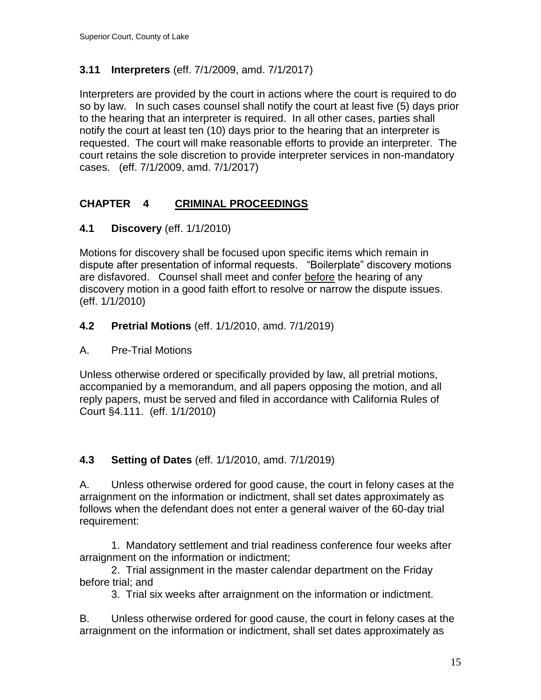# <span id="page-14-0"></span>**3.11 Interpreters** (eff. 7/1/2009, amd. 7/1/2017)

Interpreters are provided by the court in actions where the court is required to do so by law. In such cases counsel shall notify the court at least five (5) days prior to the hearing that an interpreter is required. In all other cases, parties shall notify the court at least ten (10) days prior to the hearing that an interpreter is requested. The court will make reasonable efforts to provide an interpreter. The court retains the sole discretion to provide interpreter services in non-mandatory cases. (eff. 7/1/2009, amd. 7/1/2017)

# <span id="page-14-1"></span>**CHAPTER 4 CRIMINAL PROCEEDINGS**

# **4.1 Discovery** (eff. 1/1/2010)

Motions for discovery shall be focused upon specific items which remain in dispute after presentation of informal requests. "Boilerplate" discovery motions are disfavored. Counsel shall meet and confer before the hearing of any discovery motion in a good faith effort to resolve or narrow the dispute issues. (eff. 1/1/2010)

# **4.2 Pretrial Motions** (eff. 1/1/2010, amd. 7/1/2019)

# A. Pre-Trial Motions

Unless otherwise ordered or specifically provided by law, all pretrial motions, accompanied by a memorandum, and all papers opposing the motion, and all reply papers, must be served and filed in accordance with California Rules of Court §4.111. (eff. 1/1/2010)

# **4.3 Setting of Dates** (eff. 1/1/2010, amd. 7/1/2019)

A. Unless otherwise ordered for good cause, the court in felony cases at the arraignment on the information or indictment, shall set dates approximately as follows when the defendant does not enter a general waiver of the 60-day trial requirement:

1. Mandatory settlement and trial readiness conference four weeks after arraignment on the information or indictment;

2. Trial assignment in the master calendar department on the Friday before trial; and

3. Trial six weeks after arraignment on the information or indictment.

B. Unless otherwise ordered for good cause, the court in felony cases at the arraignment on the information or indictment, shall set dates approximately as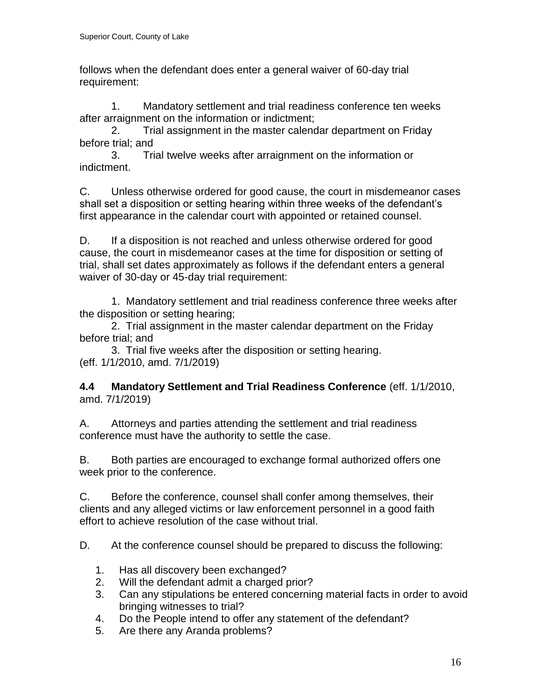follows when the defendant does enter a general waiver of 60-day trial requirement:

1. Mandatory settlement and trial readiness conference ten weeks after arraignment on the information or indictment;

2. Trial assignment in the master calendar department on Friday before trial; and

3. Trial twelve weeks after arraignment on the information or indictment.

C. Unless otherwise ordered for good cause, the court in misdemeanor cases shall set a disposition or setting hearing within three weeks of the defendant's first appearance in the calendar court with appointed or retained counsel.

D. If a disposition is not reached and unless otherwise ordered for good cause, the court in misdemeanor cases at the time for disposition or setting of trial, shall set dates approximately as follows if the defendant enters a general waiver of 30-day or 45-day trial requirement:

1. Mandatory settlement and trial readiness conference three weeks after the disposition or setting hearing;

2. Trial assignment in the master calendar department on the Friday before trial; and

3. Trial five weeks after the disposition or setting hearing. (eff. 1/1/2010, amd. 7/1/2019)

**4.4 Mandatory Settlement and Trial Readiness Conference** (eff. 1/1/2010, amd. 7/1/2019)

A. Attorneys and parties attending the settlement and trial readiness conference must have the authority to settle the case.

B. Both parties are encouraged to exchange formal authorized offers one week prior to the conference.

C. Before the conference, counsel shall confer among themselves, their clients and any alleged victims or law enforcement personnel in a good faith effort to achieve resolution of the case without trial.

D. At the conference counsel should be prepared to discuss the following:

- 1. Has all discovery been exchanged?
- 2. Will the defendant admit a charged prior?
- 3. Can any stipulations be entered concerning material facts in order to avoid bringing witnesses to trial?
- 4. Do the People intend to offer any statement of the defendant?
- 5. Are there any Aranda problems?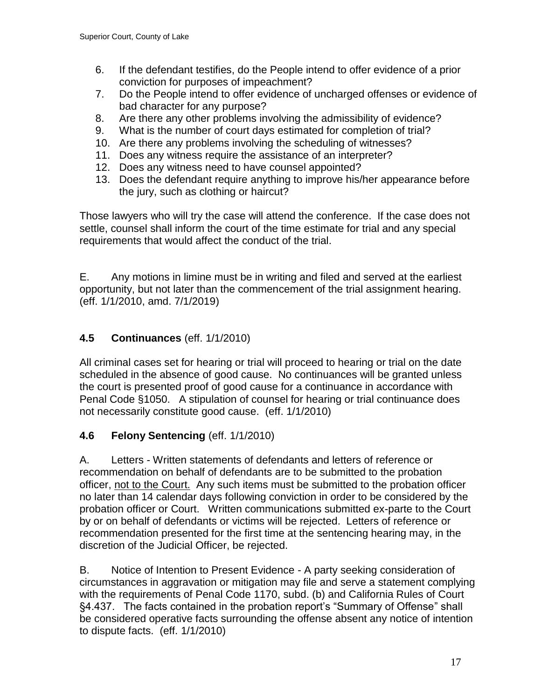- 6. If the defendant testifies, do the People intend to offer evidence of a prior conviction for purposes of impeachment?
- 7. Do the People intend to offer evidence of uncharged offenses or evidence of bad character for any purpose?
- 8. Are there any other problems involving the admissibility of evidence?
- 9. What is the number of court days estimated for completion of trial?
- 10. Are there any problems involving the scheduling of witnesses?
- 11. Does any witness require the assistance of an interpreter?
- 12. Does any witness need to have counsel appointed?
- 13. Does the defendant require anything to improve his/her appearance before the jury, such as clothing or haircut?

Those lawyers who will try the case will attend the conference. If the case does not settle, counsel shall inform the court of the time estimate for trial and any special requirements that would affect the conduct of the trial.

E. Any motions in limine must be in writing and filed and served at the earliest opportunity, but not later than the commencement of the trial assignment hearing. (eff. 1/1/2010, amd. 7/1/2019)

# **4.5 Continuances** (eff. 1/1/2010)

All criminal cases set for hearing or trial will proceed to hearing or trial on the date scheduled in the absence of good cause. No continuances will be granted unless the court is presented proof of good cause for a continuance in accordance with Penal Code §1050. A stipulation of counsel for hearing or trial continuance does not necessarily constitute good cause. (eff. 1/1/2010)

# **4.6 Felony Sentencing** (eff. 1/1/2010)

A. Letters - Written statements of defendants and letters of reference or recommendation on behalf of defendants are to be submitted to the probation officer, not to the Court. Any such items must be submitted to the probation officer no later than 14 calendar days following conviction in order to be considered by the probation officer or Court. Written communications submitted ex-parte to the Court by or on behalf of defendants or victims will be rejected. Letters of reference or recommendation presented for the first time at the sentencing hearing may, in the discretion of the Judicial Officer, be rejected.

B. Notice of Intention to Present Evidence - A party seeking consideration of circumstances in aggravation or mitigation may file and serve a statement complying with the requirements of Penal Code 1170, subd. (b) and California Rules of Court §4.437. The facts contained in the probation report's "Summary of Offense" shall be considered operative facts surrounding the offense absent any notice of intention to dispute facts. (eff. 1/1/2010)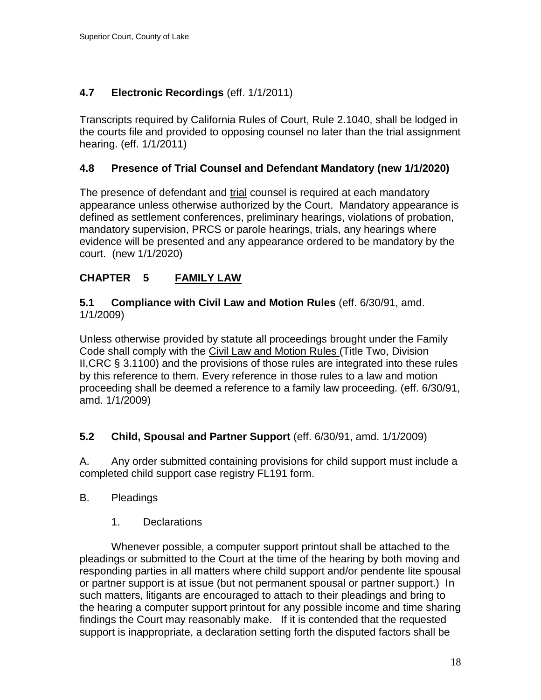# <span id="page-17-0"></span>**4.7 Electronic Recordings** (eff. 1/1/2011)

Transcripts required by California Rules of Court, Rule 2.1040, shall be lodged in the courts file and provided to opposing counsel no later than the trial assignment hearing. (eff. 1/1/2011)

### **4.8 Presence of Trial Counsel and Defendant Mandatory (new 1/1/2020)**

The presence of defendant and trial counsel is required at each mandatory appearance unless otherwise authorized by the Court. Mandatory appearance is defined as settlement conferences, preliminary hearings, violations of probation, mandatory supervision, PRCS or parole hearings, trials, any hearings where evidence will be presented and any appearance ordered to be mandatory by the court. (new 1/1/2020)

# <span id="page-17-1"></span>**CHAPTER 5 FAMILY LAW**

### <span id="page-17-2"></span>**5.1 Compliance with Civil Law and Motion Rules** (eff. 6/30/91, amd. 1/1/2009)

Unless otherwise provided by statute all proceedings brought under the Family Code shall comply with the Civil Law and Motion Rules (Title Two, Division II,CRC § 3.1100) and the provisions of those rules are integrated into these rules by this reference to them. Every reference in those rules to a law and motion proceeding shall be deemed a reference to a family law proceeding. (eff. 6/30/91, amd. 1/1/2009)

#### <span id="page-17-3"></span>**5.2 Child, Spousal and Partner Support** (eff. 6/30/91, amd. 1/1/2009)

A. Any order submitted containing provisions for child support must include a completed child support case registry FL191 form.

#### B. Pleadings

1. Declarations

Whenever possible, a computer support printout shall be attached to the pleadings or submitted to the Court at the time of the hearing by both moving and responding parties in all matters where child support and/or pendente lite spousal or partner support is at issue (but not permanent spousal or partner support.) In such matters, litigants are encouraged to attach to their pleadings and bring to the hearing a computer support printout for any possible income and time sharing findings the Court may reasonably make. If it is contended that the requested support is inappropriate, a declaration setting forth the disputed factors shall be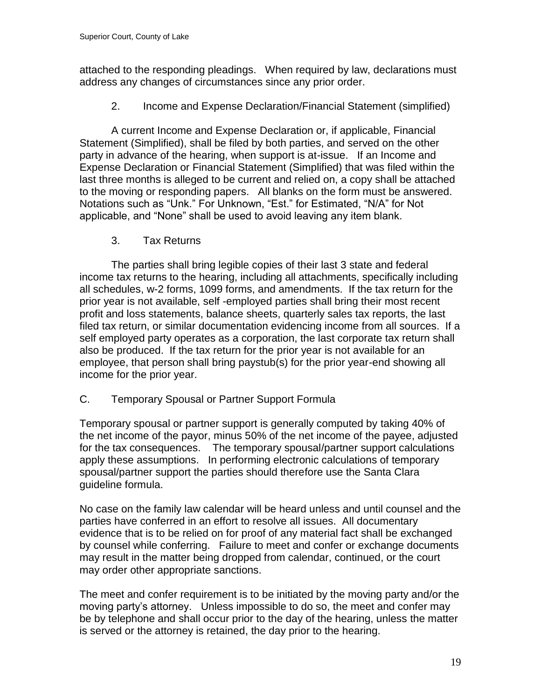attached to the responding pleadings. When required by law, declarations must address any changes of circumstances since any prior order.

2. Income and Expense Declaration/Financial Statement (simplified)

A current Income and Expense Declaration or, if applicable, Financial Statement (Simplified), shall be filed by both parties, and served on the other party in advance of the hearing, when support is at-issue. If an Income and Expense Declaration or Financial Statement (Simplified) that was filed within the last three months is alleged to be current and relied on, a copy shall be attached to the moving or responding papers. All blanks on the form must be answered. Notations such as "Unk." For Unknown, "Est." for Estimated, "N/A" for Not applicable, and "None" shall be used to avoid leaving any item blank.

3. Tax Returns

The parties shall bring legible copies of their last 3 state and federal income tax returns to the hearing, including all attachments, specifically including all schedules, w-2 forms, 1099 forms, and amendments. If the tax return for the prior year is not available, self -employed parties shall bring their most recent profit and loss statements, balance sheets, quarterly sales tax reports, the last filed tax return, or similar documentation evidencing income from all sources. If a self employed party operates as a corporation, the last corporate tax return shall also be produced. If the tax return for the prior year is not available for an employee, that person shall bring paystub(s) for the prior year-end showing all income for the prior year.

C. Temporary Spousal or Partner Support Formula

Temporary spousal or partner support is generally computed by taking 40% of the net income of the payor, minus 50% of the net income of the payee, adjusted for the tax consequences. The temporary spousal/partner support calculations apply these assumptions. In performing electronic calculations of temporary spousal/partner support the parties should therefore use the Santa Clara guideline formula.

No case on the family law calendar will be heard unless and until counsel and the parties have conferred in an effort to resolve all issues. All documentary evidence that is to be relied on for proof of any material fact shall be exchanged by counsel while conferring. Failure to meet and confer or exchange documents may result in the matter being dropped from calendar, continued, or the court may order other appropriate sanctions.

The meet and confer requirement is to be initiated by the moving party and/or the moving party's attorney. Unless impossible to do so, the meet and confer may be by telephone and shall occur prior to the day of the hearing, unless the matter is served or the attorney is retained, the day prior to the hearing.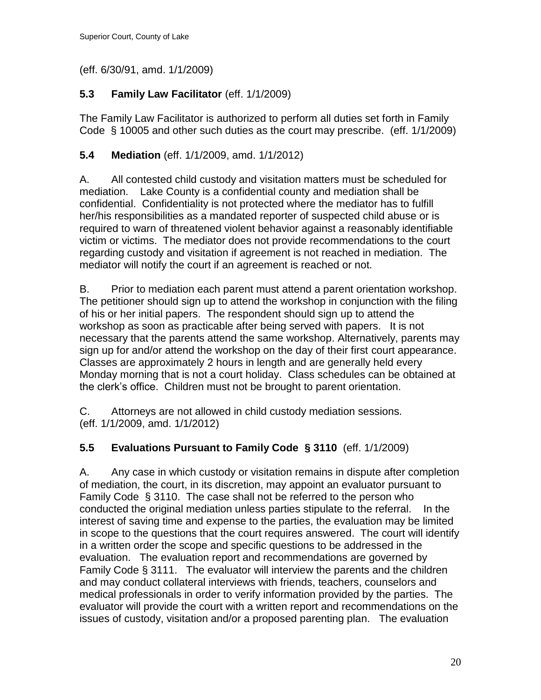(eff. 6/30/91, amd. 1/1/2009)

# <span id="page-19-0"></span>**5.3 Family Law Facilitator** (eff. 1/1/2009)

The Family Law Facilitator is authorized to perform all duties set forth in Family Code § 10005 and other such duties as the court may prescribe. (eff. 1/1/2009)

# <span id="page-19-1"></span>**5.4 Mediation** (eff. 1/1/2009, amd. 1/1/2012)

A. All contested child custody and visitation matters must be scheduled for mediation. Lake County is a confidential county and mediation shall be confidential. Confidentiality is not protected where the mediator has to fulfill her/his responsibilities as a mandated reporter of suspected child abuse or is required to warn of threatened violent behavior against a reasonably identifiable victim or victims. The mediator does not provide recommendations to the court regarding custody and visitation if agreement is not reached in mediation. The mediator will notify the court if an agreement is reached or not.

B. Prior to mediation each parent must attend a parent orientation workshop. The petitioner should sign up to attend the workshop in conjunction with the filing of his or her initial papers. The respondent should sign up to attend the workshop as soon as practicable after being served with papers. It is not necessary that the parents attend the same workshop. Alternatively, parents may sign up for and/or attend the workshop on the day of their first court appearance. Classes are approximately 2 hours in length and are generally held every Monday morning that is not a court holiday. Class schedules can be obtained at the clerk's office. Children must not be brought to parent orientation.

C. Attorneys are not allowed in child custody mediation sessions. (eff. 1/1/2009, amd. 1/1/2012)

# <span id="page-19-2"></span>**5.5 Evaluations Pursuant to Family Code § 3110** (eff. 1/1/2009)

A. Any case in which custody or visitation remains in dispute after completion of mediation, the court, in its discretion, may appoint an evaluator pursuant to Family Code § 3110. The case shall not be referred to the person who conducted the original mediation unless parties stipulate to the referral. In the interest of saving time and expense to the parties, the evaluation may be limited in scope to the questions that the court requires answered. The court will identify in a written order the scope and specific questions to be addressed in the evaluation. The evaluation report and recommendations are governed by Family Code § 3111. The evaluator will interview the parents and the children and may conduct collateral interviews with friends, teachers, counselors and medical professionals in order to verify information provided by the parties. The evaluator will provide the court with a written report and recommendations on the issues of custody, visitation and/or a proposed parenting plan. The evaluation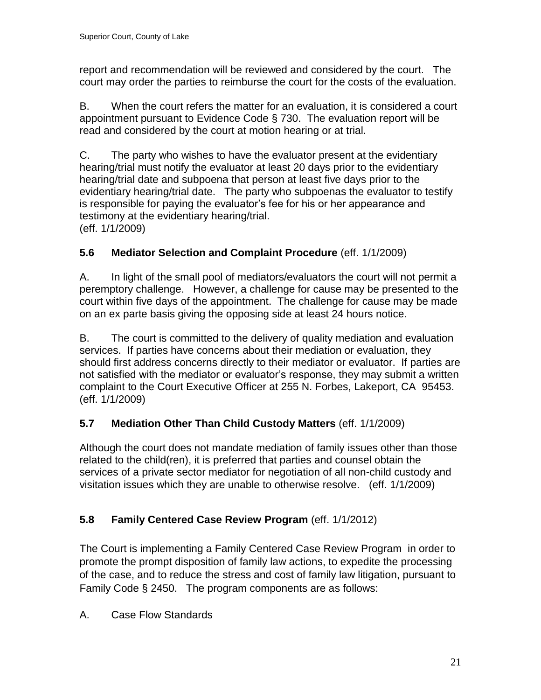report and recommendation will be reviewed and considered by the court. The court may order the parties to reimburse the court for the costs of the evaluation.

B. When the court refers the matter for an evaluation, it is considered a court appointment pursuant to Evidence Code § 730. The evaluation report will be read and considered by the court at motion hearing or at trial.

C. The party who wishes to have the evaluator present at the evidentiary hearing/trial must notify the evaluator at least 20 days prior to the evidentiary hearing/trial date and subpoena that person at least five days prior to the evidentiary hearing/trial date. The party who subpoenas the evaluator to testify is responsible for paying the evaluator's fee for his or her appearance and testimony at the evidentiary hearing/trial. (eff. 1/1/2009)

# <span id="page-20-0"></span>**5.6 Mediator Selection and Complaint Procedure** (eff. 1/1/2009)

A. In light of the small pool of mediators/evaluators the court will not permit a peremptory challenge. However, a challenge for cause may be presented to the court within five days of the appointment. The challenge for cause may be made on an ex parte basis giving the opposing side at least 24 hours notice.

B. The court is committed to the delivery of quality mediation and evaluation services. If parties have concerns about their mediation or evaluation, they should first address concerns directly to their mediator or evaluator. If parties are not satisfied with the mediator or evaluator's response, they may submit a written complaint to the Court Executive Officer at 255 N. Forbes, Lakeport, CA 95453. (eff. 1/1/2009)

# <span id="page-20-1"></span>**5.7 Mediation Other Than Child Custody Matters** (eff. 1/1/2009)

Although the court does not mandate mediation of family issues other than those related to the child(ren), it is preferred that parties and counsel obtain the services of a private sector mediator for negotiation of all non-child custody and visitation issues which they are unable to otherwise resolve. (eff. 1/1/2009)

# <span id="page-20-2"></span>**5.8 Family Centered Case Review Program** (eff. 1/1/2012)

The Court is implementing a Family Centered Case Review Program in order to promote the prompt disposition of family law actions, to expedite the processing of the case, and to reduce the stress and cost of family law litigation, pursuant to Family Code § 2450. The program components are as follows:

# A. Case Flow Standards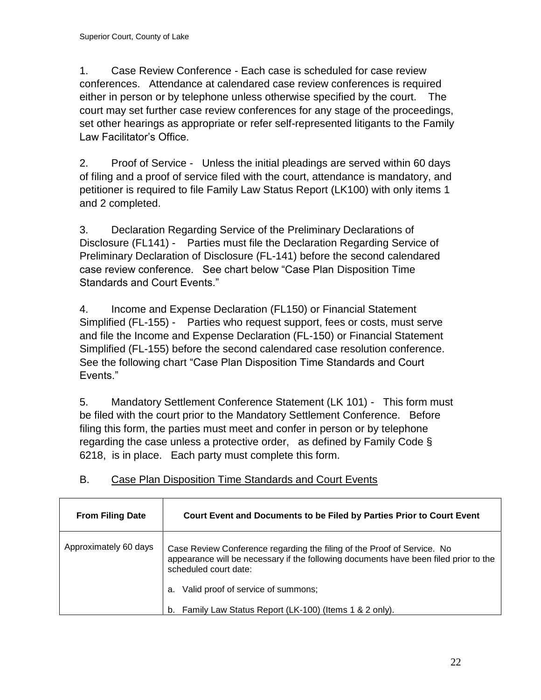1. Case Review Conference - Each case is scheduled for case review conferences. Attendance at calendared case review conferences is required either in person or by telephone unless otherwise specified by the court. The court may set further case review conferences for any stage of the proceedings, set other hearings as appropriate or refer self-represented litigants to the Family Law Facilitator's Office.

2. Proof of Service - Unless the initial pleadings are served within 60 days of filing and a proof of service filed with the court, attendance is mandatory, and petitioner is required to file Family Law Status Report (LK100) with only items 1 and 2 completed.

3. Declaration Regarding Service of the Preliminary Declarations of Disclosure (FL141) - Parties must file the Declaration Regarding Service of Preliminary Declaration of Disclosure (FL-141) before the second calendared case review conference. See chart below "Case Plan Disposition Time Standards and Court Events."

4. Income and Expense Declaration (FL150) or Financial Statement Simplified (FL-155) - Parties who request support, fees or costs, must serve and file the Income and Expense Declaration (FL-150) or Financial Statement Simplified (FL-155) before the second calendared case resolution conference. See the following chart "Case Plan Disposition Time Standards and Court Events."

5. Mandatory Settlement Conference Statement (LK 101) - This form must be filed with the court prior to the Mandatory Settlement Conference. Before filing this form, the parties must meet and confer in person or by telephone regarding the case unless a protective order, as defined by Family Code § 6218, is in place. Each party must complete this form.

| <b>From Filing Date</b> | Court Event and Documents to be Filed by Parties Prior to Court Event                                                                                                                    |
|-------------------------|------------------------------------------------------------------------------------------------------------------------------------------------------------------------------------------|
| Approximately 60 days   | Case Review Conference regarding the filing of the Proof of Service. No<br>appearance will be necessary if the following documents have been filed prior to the<br>scheduled court date: |
|                         | Valid proof of service of summons;<br>a.                                                                                                                                                 |
|                         | Family Law Status Report (LK-100) (Items 1 & 2 only).<br>b.                                                                                                                              |

# B. Case Plan Disposition Time Standards and Court Events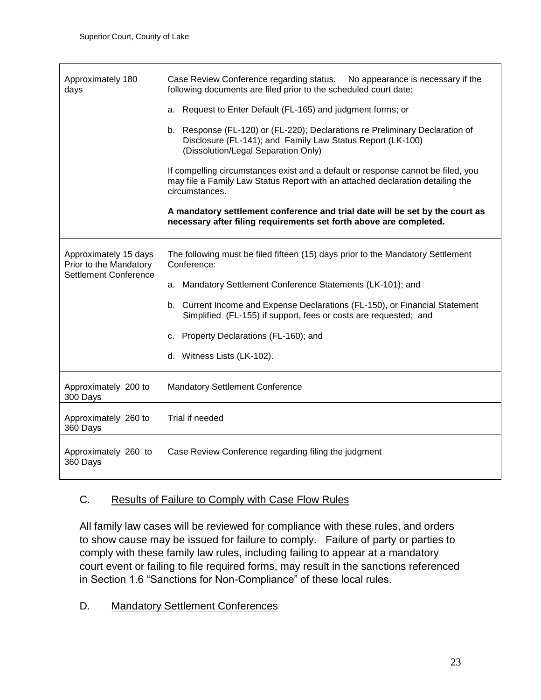| Approximately 180<br>days                                                       | Case Review Conference regarding status.<br>No appearance is necessary if the<br>following documents are filed prior to the scheduled court date:                                    |
|---------------------------------------------------------------------------------|--------------------------------------------------------------------------------------------------------------------------------------------------------------------------------------|
|                                                                                 | Request to Enter Default (FL-165) and judgment forms; or<br>a.                                                                                                                       |
|                                                                                 | b. Response (FL-120) or (FL-220); Declarations re Preliminary Declaration of<br>Disclosure (FL-141); and Family Law Status Report (LK-100)<br>(Dissolution/Legal Separation Only)    |
|                                                                                 | If compelling circumstances exist and a default or response cannot be filed, you<br>may file a Family Law Status Report with an attached declaration detailing the<br>circumstances. |
|                                                                                 | A mandatory settlement conference and trial date will be set by the court as<br>necessary after filing requirements set forth above are completed.                                   |
| Approximately 15 days<br>Prior to the Mandatory<br><b>Settlement Conference</b> | The following must be filed fifteen (15) days prior to the Mandatory Settlement<br>Conference:                                                                                       |
|                                                                                 | a. Mandatory Settlement Conference Statements (LK-101); and                                                                                                                          |
|                                                                                 | b. Current Income and Expense Declarations (FL-150), or Financial Statement<br>Simplified (FL-155) if support, fees or costs are requested; and                                      |
|                                                                                 | Property Declarations (FL-160); and<br>c.                                                                                                                                            |
|                                                                                 | d. Witness Lists (LK-102).                                                                                                                                                           |
| Approximately 200 to<br>300 Days                                                | <b>Mandatory Settlement Conference</b>                                                                                                                                               |
| Approximately 260 to<br>360 Days                                                | Trial if needed                                                                                                                                                                      |
| Approximately 260 to<br>360 Days                                                | Case Review Conference regarding filing the judgment                                                                                                                                 |

# C. Results of Failure to Comply with Case Flow Rules

All family law cases will be reviewed for compliance with these rules, and orders to show cause may be issued for failure to comply. Failure of party or parties to comply with these family law rules, including failing to appear at a mandatory court event or failing to file required forms, may result in the sanctions referenced in Section 1.6 "Sanctions for Non-Compliance" of these local rules.

# D. Mandatory Settlement Conferences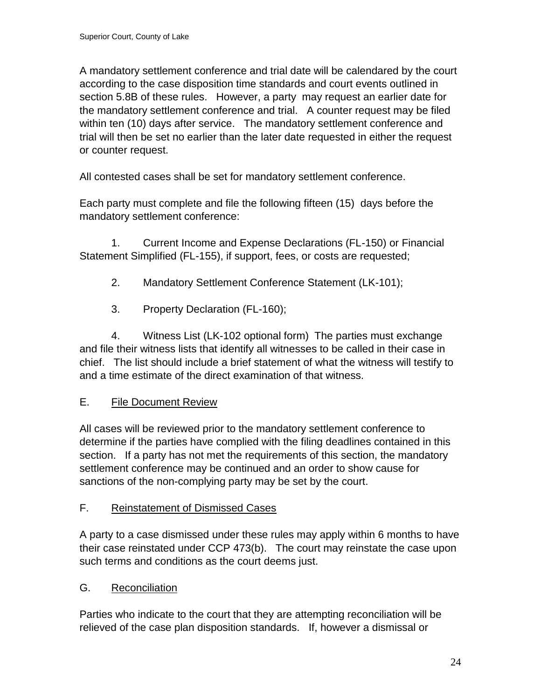A mandatory settlement conference and trial date will be calendared by the court according to the case disposition time standards and court events outlined in section 5.8B of these rules. However, a party may request an earlier date for the mandatory settlement conference and trial. A counter request may be filed within ten (10) days after service. The mandatory settlement conference and trial will then be set no earlier than the later date requested in either the request or counter request.

All contested cases shall be set for mandatory settlement conference.

Each party must complete and file the following fifteen (15) days before the mandatory settlement conference:

1. Current Income and Expense Declarations (FL-150) or Financial Statement Simplified (FL-155), if support, fees, or costs are requested;

- 2. Mandatory Settlement Conference Statement (LK-101);
- 3. Property Declaration (FL-160);

4. Witness List (LK-102 optional form) The parties must exchange and file their witness lists that identify all witnesses to be called in their case in chief. The list should include a brief statement of what the witness will testify to and a time estimate of the direct examination of that witness.

# E. File Document Review

All cases will be reviewed prior to the mandatory settlement conference to determine if the parties have complied with the filing deadlines contained in this section. If a party has not met the requirements of this section, the mandatory settlement conference may be continued and an order to show cause for sanctions of the non-complying party may be set by the court.

# F. Reinstatement of Dismissed Cases

A party to a case dismissed under these rules may apply within 6 months to have their case reinstated under CCP 473(b). The court may reinstate the case upon such terms and conditions as the court deems just.

# G. Reconciliation

Parties who indicate to the court that they are attempting reconciliation will be relieved of the case plan disposition standards. If, however a dismissal or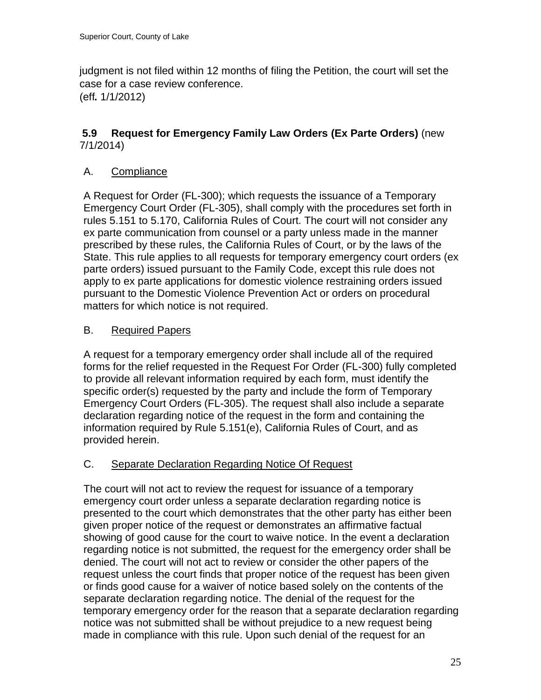judgment is not filed within 12 months of filing the Petition, the court will set the case for a case review conference. (eff*.* 1/1/2012)

# <span id="page-24-0"></span>**5.9 Request for Emergency Family Law Orders (Ex Parte Orders)** (new 7/1/2014)

# A. Compliance

A Request for Order (FL-300); which requests the issuance of a Temporary Emergency Court Order (FL-305), shall comply with the procedures set forth in rules 5.151 to 5.170, California Rules of Court. The court will not consider any ex parte communication from counsel or a party unless made in the manner prescribed by these rules, the California Rules of Court, or by the laws of the State. This rule applies to all requests for temporary emergency court orders (ex parte orders) issued pursuant to the Family Code, except this rule does not apply to ex parte applications for domestic violence restraining orders issued pursuant to the Domestic Violence Prevention Act or orders on procedural matters for which notice is not required.

# **B.** Required Papers

A request for a temporary emergency order shall include all of the required forms for the relief requested in the Request For Order (FL-300) fully completed to provide all relevant information required by each form, must identify the specific order(s) requested by the party and include the form of Temporary Emergency Court Orders (FL-305). The request shall also include a separate declaration regarding notice of the request in the form and containing the information required by Rule 5.151(e), California Rules of Court, and as provided herein.

# C. Separate Declaration Regarding Notice Of Request

The court will not act to review the request for issuance of a temporary emergency court order unless a separate declaration regarding notice is presented to the court which demonstrates that the other party has either been given proper notice of the request or demonstrates an affirmative factual showing of good cause for the court to waive notice. In the event a declaration regarding notice is not submitted, the request for the emergency order shall be denied. The court will not act to review or consider the other papers of the request unless the court finds that proper notice of the request has been given or finds good cause for a waiver of notice based solely on the contents of the separate declaration regarding notice. The denial of the request for the temporary emergency order for the reason that a separate declaration regarding notice was not submitted shall be without prejudice to a new request being made in compliance with this rule. Upon such denial of the request for an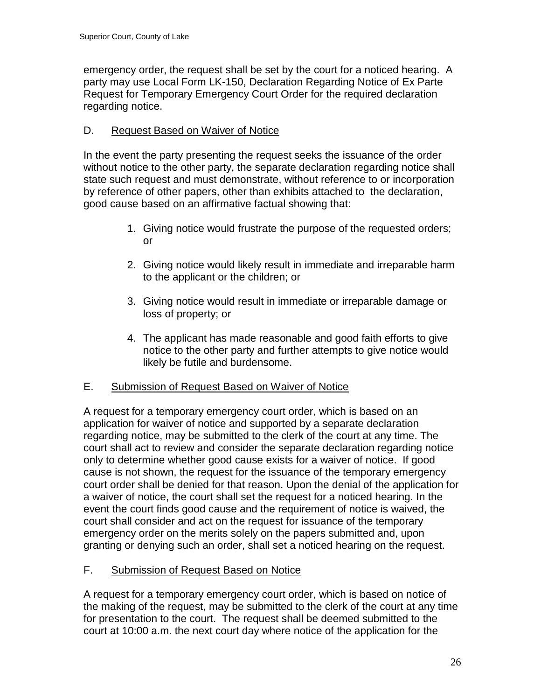emergency order, the request shall be set by the court for a noticed hearing. A party may use Local Form LK-150, Declaration Regarding Notice of Ex Parte Request for Temporary Emergency Court Order for the required declaration regarding notice.

# D. Request Based on Waiver of Notice

In the event the party presenting the request seeks the issuance of the order without notice to the other party, the separate declaration regarding notice shall state such request and must demonstrate, without reference to or incorporation by reference of other papers, other than exhibits attached to the declaration, good cause based on an affirmative factual showing that:

- 1. Giving notice would frustrate the purpose of the requested orders; or
- 2. Giving notice would likely result in immediate and irreparable harm to the applicant or the children; or
- 3. Giving notice would result in immediate or irreparable damage or loss of property; or
- 4. The applicant has made reasonable and good faith efforts to give notice to the other party and further attempts to give notice would likely be futile and burdensome.

# E. Submission of Request Based on Waiver of Notice

A request for a temporary emergency court order, which is based on an application for waiver of notice and supported by a separate declaration regarding notice, may be submitted to the clerk of the court at any time. The court shall act to review and consider the separate declaration regarding notice only to determine whether good cause exists for a waiver of notice. If good cause is not shown, the request for the issuance of the temporary emergency court order shall be denied for that reason. Upon the denial of the application for a waiver of notice, the court shall set the request for a noticed hearing. In the event the court finds good cause and the requirement of notice is waived, the court shall consider and act on the request for issuance of the temporary emergency order on the merits solely on the papers submitted and, upon granting or denying such an order, shall set a noticed hearing on the request.

# F. Submission of Request Based on Notice

A request for a temporary emergency court order, which is based on notice of the making of the request, may be submitted to the clerk of the court at any time for presentation to the court. The request shall be deemed submitted to the court at 10:00 a.m. the next court day where notice of the application for the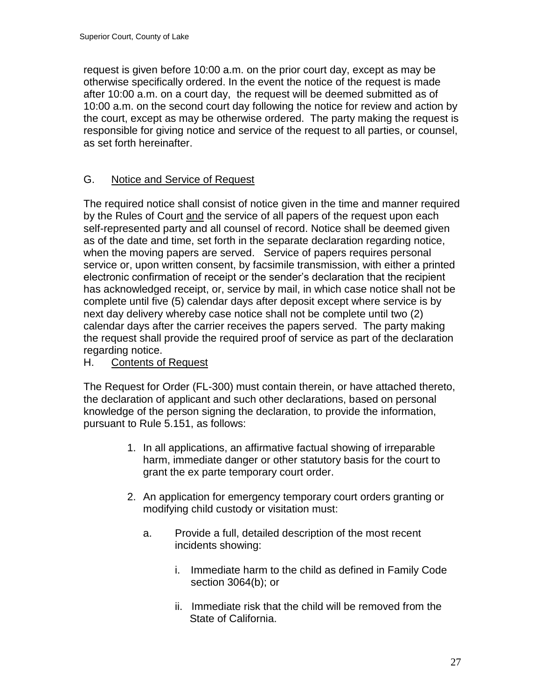request is given before 10:00 a.m. on the prior court day, except as may be otherwise specifically ordered. In the event the notice of the request is made after 10:00 a.m. on a court day, the request will be deemed submitted as of 10:00 a.m. on the second court day following the notice for review and action by the court, except as may be otherwise ordered. The party making the request is responsible for giving notice and service of the request to all parties, or counsel, as set forth hereinafter.

# G. Notice and Service of Request

The required notice shall consist of notice given in the time and manner required by the Rules of Court and the service of all papers of the request upon each self-represented party and all counsel of record. Notice shall be deemed given as of the date and time, set forth in the separate declaration regarding notice, when the moving papers are served. Service of papers requires personal service or, upon written consent, by facsimile transmission, with either a printed electronic confirmation of receipt or the sender's declaration that the recipient has acknowledged receipt, or, service by mail, in which case notice shall not be complete until five (5) calendar days after deposit except where service is by next day delivery whereby case notice shall not be complete until two (2) calendar days after the carrier receives the papers served. The party making the request shall provide the required proof of service as part of the declaration regarding notice.

# H. Contents of Request

The Request for Order (FL-300) must contain therein, or have attached thereto, the declaration of applicant and such other declarations, based on personal knowledge of the person signing the declaration, to provide the information, pursuant to Rule 5.151, as follows:

- 1. In all applications, an affirmative factual showing of irreparable harm, immediate danger or other statutory basis for the court to grant the ex parte temporary court order.
- 2. An application for emergency temporary court orders granting or modifying child custody or visitation must:
	- a. Provide a full, detailed description of the most recent incidents showing:
		- i. Immediate harm to the child as defined in Family Code section 3064(b); or
		- ii. Immediate risk that the child will be removed from the State of California.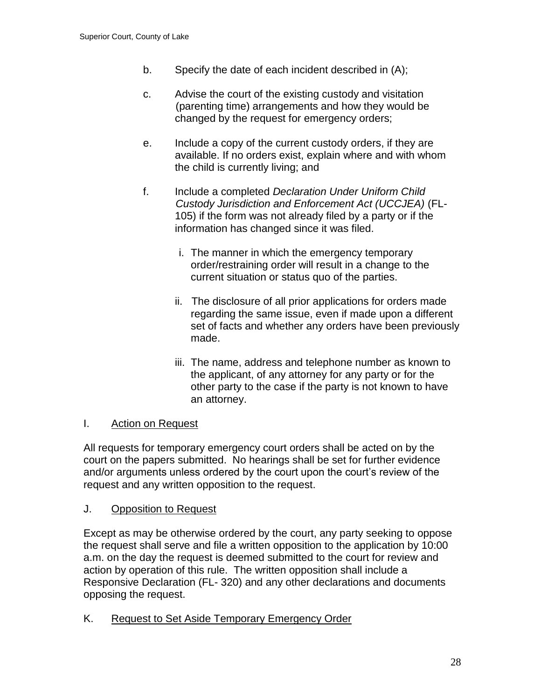- b. Specify the date of each incident described in (A);
- c. Advise the court of the existing custody and visitation (parenting time) arrangements and how they would be changed by the request for emergency orders;
- e. Include a copy of the current custody orders, if they are available. If no orders exist, explain where and with whom the child is currently living; and
- f. Include a completed *Declaration Under Uniform Child Custody Jurisdiction and Enforcement Act (UCCJEA)* (FL-105) if the form was not already filed by a party or if the information has changed since it was filed.
	- i. The manner in which the emergency temporary order/restraining order will result in a change to the current situation or status quo of the parties.
	- ii. The disclosure of all prior applications for orders made regarding the same issue, even if made upon a different set of facts and whether any orders have been previously made.
	- iii. The name, address and telephone number as known to the applicant, of any attorney for any party or for the other party to the case if the party is not known to have an attorney.

# I. Action on Request

All requests for temporary emergency court orders shall be acted on by the court on the papers submitted. No hearings shall be set for further evidence and/or arguments unless ordered by the court upon the court's review of the request and any written opposition to the request.

#### J. Opposition to Request

Except as may be otherwise ordered by the court, any party seeking to oppose the request shall serve and file a written opposition to the application by 10:00 a.m. on the day the request is deemed submitted to the court for review and action by operation of this rule. The written opposition shall include a Responsive Declaration (FL- 320) and any other declarations and documents opposing the request.

K. Request to Set Aside Temporary Emergency Order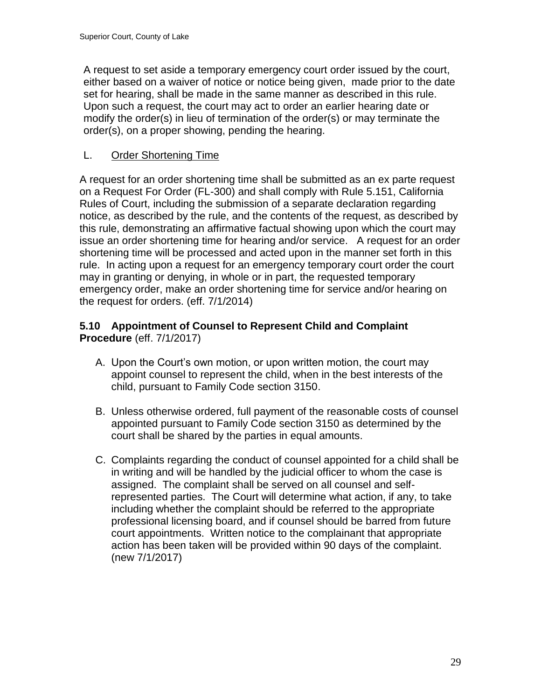A request to set aside a temporary emergency court order issued by the court, either based on a waiver of notice or notice being given, made prior to the date set for hearing, shall be made in the same manner as described in this rule. Upon such a request, the court may act to order an earlier hearing date or modify the order(s) in lieu of termination of the order(s) or may terminate the order(s), on a proper showing, pending the hearing.

# L. Order Shortening Time

A request for an order shortening time shall be submitted as an ex parte request on a Request For Order (FL-300) and shall comply with Rule 5.151, California Rules of Court, including the submission of a separate declaration regarding notice, as described by the rule, and the contents of the request, as described by this rule, demonstrating an affirmative factual showing upon which the court may issue an order shortening time for hearing and/or service. A request for an order shortening time will be processed and acted upon in the manner set forth in this rule. In acting upon a request for an emergency temporary court order the court may in granting or denying, in whole or in part, the requested temporary emergency order, make an order shortening time for service and/or hearing on the request for orders. (eff. 7/1/2014)

# **5.10 Appointment of Counsel to Represent Child and Complaint Procedure** (eff. 7/1/2017)

- A. Upon the Court's own motion, or upon written motion, the court may appoint counsel to represent the child, when in the best interests of the child, pursuant to Family Code section 3150.
- B. Unless otherwise ordered, full payment of the reasonable costs of counsel appointed pursuant to Family Code section 3150 as determined by the court shall be shared by the parties in equal amounts.
- <span id="page-28-0"></span>C. Complaints regarding the conduct of counsel appointed for a child shall be in writing and will be handled by the judicial officer to whom the case is assigned. The complaint shall be served on all counsel and selfrepresented parties. The Court will determine what action, if any, to take including whether the complaint should be referred to the appropriate professional licensing board, and if counsel should be barred from future court appointments. Written notice to the complainant that appropriate action has been taken will be provided within 90 days of the complaint. (new 7/1/2017)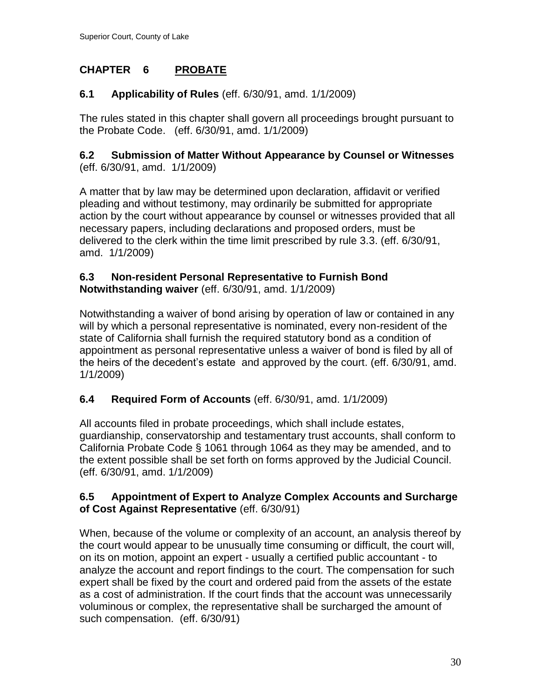# **CHAPTER 6 PROBATE**

# <span id="page-29-0"></span>**6.1 Applicability of Rules** (eff. 6/30/91, amd. 1/1/2009)

The rules stated in this chapter shall govern all proceedings brought pursuant to the Probate Code. (eff. 6/30/91, amd. 1/1/2009)

#### <span id="page-29-1"></span>**6.2 Submission of Matter Without Appearance by Counsel or Witnesses** (eff. 6/30/91, amd. 1/1/2009)

A matter that by law may be determined upon declaration, affidavit or verified pleading and without testimony, may ordinarily be submitted for appropriate action by the court without appearance by counsel or witnesses provided that all necessary papers, including declarations and proposed orders, must be delivered to the clerk within the time limit prescribed by rule 3.3. (eff. 6/30/91, amd. 1/1/2009)

#### <span id="page-29-2"></span>**6.3 Non-resident Personal Representative to Furnish Bond Notwithstanding waiver** (eff. 6/30/91, amd. 1/1/2009)

Notwithstanding a waiver of bond arising by operation of law or contained in any will by which a personal representative is nominated, every non-resident of the state of California shall furnish the required statutory bond as a condition of appointment as personal representative unless a waiver of bond is filed by all of the heirs of the decedent's estate and approved by the court. (eff. 6/30/91, amd. 1/1/2009)

# <span id="page-29-3"></span>**6.4 Required Form of Accounts** (eff. 6/30/91, amd. 1/1/2009)

All accounts filed in probate proceedings, which shall include estates, guardianship, conservatorship and testamentary trust accounts, shall conform to California Probate Code § 1061 through 1064 as they may be amended, and to the extent possible shall be set forth on forms approved by the Judicial Council. (eff. 6/30/91, amd. 1/1/2009)

# <span id="page-29-4"></span>**6.5 Appointment of Expert to Analyze Complex Accounts and Surcharge of Cost Against Representative** (eff. 6/30/91)

When, because of the volume or complexity of an account, an analysis thereof by the court would appear to be unusually time consuming or difficult, the court will, on its on motion, appoint an expert - usually a certified public accountant - to analyze the account and report findings to the court. The compensation for such expert shall be fixed by the court and ordered paid from the assets of the estate as a cost of administration. If the court finds that the account was unnecessarily voluminous or complex, the representative shall be surcharged the amount of such compensation. (eff. 6/30/91)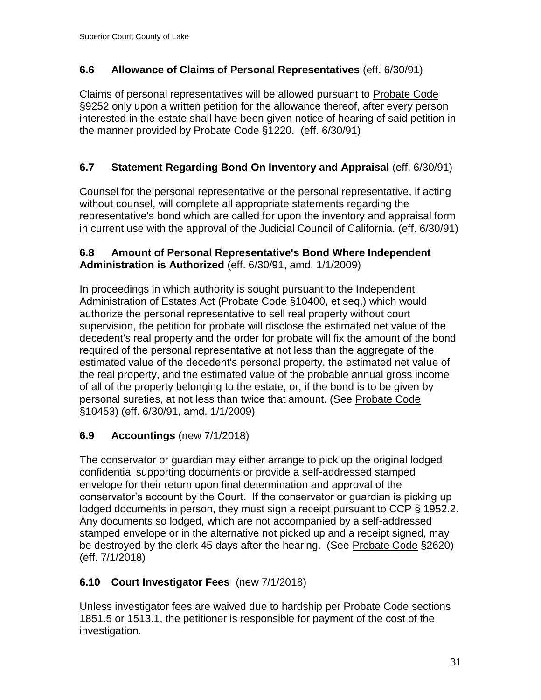# <span id="page-30-0"></span>**6.6 Allowance of Claims of Personal Representatives** (eff. 6/30/91)

Claims of personal representatives will be allowed pursuant to Probate Code §9252 only upon a written petition for the allowance thereof, after every person interested in the estate shall have been given notice of hearing of said petition in the manner provided by Probate Code §1220. (eff. 6/30/91)

# <span id="page-30-1"></span>**6.7 Statement Regarding Bond On Inventory and Appraisal** (eff. 6/30/91)

Counsel for the personal representative or the personal representative, if acting without counsel, will complete all appropriate statements regarding the representative's bond which are called for upon the inventory and appraisal form in current use with the approval of the Judicial Council of California. (eff. 6/30/91)

### <span id="page-30-2"></span>**6.8 Amount of Personal Representative's Bond Where Independent Administration is Authorized** (eff. 6/30/91, amd. 1/1/2009)

In proceedings in which authority is sought pursuant to the Independent Administration of Estates Act (Probate Code §10400, et seq.) which would authorize the personal representative to sell real property without court supervision, the petition for probate will disclose the estimated net value of the decedent's real property and the order for probate will fix the amount of the bond required of the personal representative at not less than the aggregate of the estimated value of the decedent's personal property, the estimated net value of the real property, and the estimated value of the probable annual gross income of all of the property belonging to the estate, or, if the bond is to be given by personal sureties, at not less than twice that amount. (See Probate Code §10453) (eff. 6/30/91, amd. 1/1/2009)

# **6.9 Accountings** (new 7/1/2018)

The conservator or guardian may either arrange to pick up the original lodged confidential supporting documents or provide a self-addressed stamped envelope for their return upon final determination and approval of the conservator's account by the Court. If the conservator or guardian is picking up lodged documents in person, they must sign a receipt pursuant to CCP § 1952.2. Any documents so lodged, which are not accompanied by a self-addressed stamped envelope or in the alternative not picked up and a receipt signed, may be destroyed by the clerk 45 days after the hearing. (See Probate Code §2620) (eff. 7/1/2018)

# **6.10 Court Investigator Fees** (new 7/1/2018)

Unless investigator fees are waived due to hardship per Probate Code sections 1851.5 or 1513.1, the petitioner is responsible for payment of the cost of the investigation.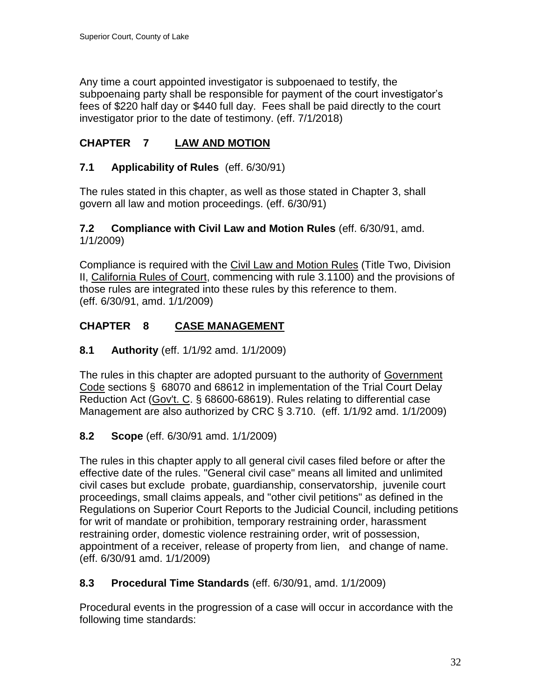Any time a court appointed investigator is subpoenaed to testify, the subpoenaing party shall be responsible for payment of the court investigator's fees of \$220 half day or \$440 full day. Fees shall be paid directly to the court investigator prior to the date of testimony. (eff. 7/1/2018)

# <span id="page-31-0"></span>**CHAPTER 7 LAW AND MOTION**

### <span id="page-31-1"></span>**7.1 Applicability of Rules** (eff. 6/30/91)

The rules stated in this chapter, as well as those stated in Chapter 3, shall govern all law and motion proceedings. (eff. 6/30/91)

#### <span id="page-31-2"></span>**7.2 Compliance with Civil Law and Motion Rules** (eff. 6/30/91, amd. 1/1/2009)

Compliance is required with the Civil Law and Motion Rules (Title Two, Division II, California Rules of Court, commencing with rule 3.1100) and the provisions of those rules are integrated into these rules by this reference to them. (eff. 6/30/91, amd. 1/1/2009)

# <span id="page-31-3"></span>**CHAPTER 8 CASE MANAGEMENT**

### <span id="page-31-4"></span>**8.1 Authority** (eff. 1/1/92 amd. 1/1/2009)

The rules in this chapter are adopted pursuant to the authority of Government Code sections § 68070 and 68612 in implementation of the Trial Court Delay Reduction Act (Gov't. C. § 68600-68619). Rules relating to differential case Management are also authorized by CRC § 3.710. (eff. 1/1/92 amd. 1/1/2009)

# <span id="page-31-5"></span>**8.2 Scope** (eff. 6/30/91 amd. 1/1/2009)

The rules in this chapter apply to all general civil cases filed before or after the effective date of the rules. "General civil case" means all limited and unlimited civil cases but exclude probate, guardianship, conservatorship, juvenile court proceedings, small claims appeals, and "other civil petitions" as defined in the Regulations on Superior Court Reports to the Judicial Council, including petitions for writ of mandate or prohibition, temporary restraining order, harassment restraining order, domestic violence restraining order, writ of possession, appointment of a receiver, release of property from lien, and change of name. (eff. 6/30/91 amd. 1/1/2009)

#### <span id="page-31-6"></span>**8.3 Procedural Time Standards** (eff. 6/30/91, amd. 1/1/2009)

Procedural events in the progression of a case will occur in accordance with the following time standards: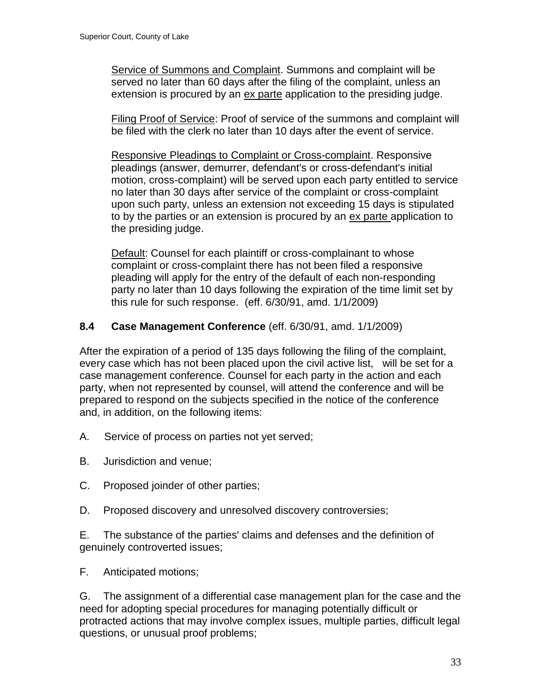Service of Summons and Complaint. Summons and complaint will be served no later than 60 days after the filing of the complaint, unless an extension is procured by an ex parte application to the presiding judge.

Filing Proof of Service: Proof of service of the summons and complaint will be filed with the clerk no later than 10 days after the event of service.

Responsive Pleadings to Complaint or Cross-complaint. Responsive pleadings (answer, demurrer, defendant's or cross-defendant's initial motion, cross-complaint) will be served upon each party entitled to service no later than 30 days after service of the complaint or cross-complaint upon such party, unless an extension not exceeding 15 days is stipulated to by the parties or an extension is procured by an ex parte application to the presiding judge.

Default: Counsel for each plaintiff or cross-complainant to whose complaint or cross-complaint there has not been filed a responsive pleading will apply for the entry of the default of each non-responding party no later than 10 days following the expiration of the time limit set by this rule for such response. (eff. 6/30/91, amd. 1/1/2009)

#### <span id="page-32-0"></span>**8.4 Case Management Conference** (eff. 6/30/91, amd. 1/1/2009)

After the expiration of a period of 135 days following the filing of the complaint, every case which has not been placed upon the civil active list, will be set for a case management conference. Counsel for each party in the action and each party, when not represented by counsel, will attend the conference and will be prepared to respond on the subjects specified in the notice of the conference and, in addition, on the following items:

- A. Service of process on parties not yet served;
- B. Jurisdiction and venue;
- C. Proposed joinder of other parties;
- D. Proposed discovery and unresolved discovery controversies;

E. The substance of the parties' claims and defenses and the definition of genuinely controverted issues;

F. Anticipated motions;

G. The assignment of a differential case management plan for the case and the need for adopting special procedures for managing potentially difficult or protracted actions that may involve complex issues, multiple parties, difficult legal questions, or unusual proof problems;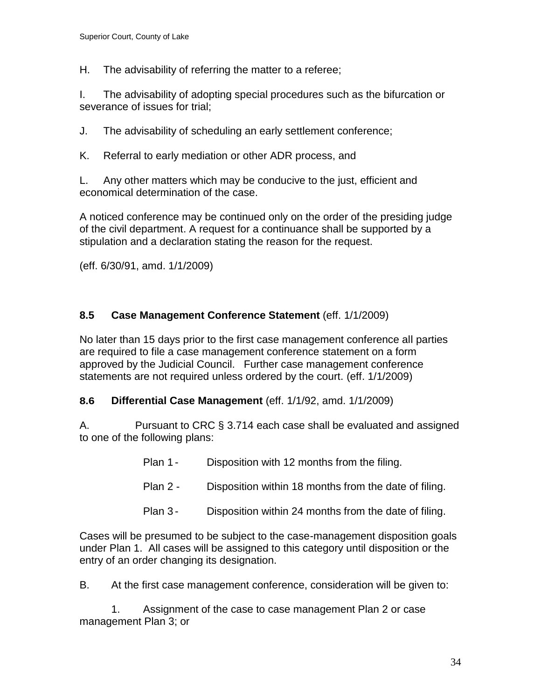H. The advisability of referring the matter to a referee;

I. The advisability of adopting special procedures such as the bifurcation or severance of issues for trial;

J. The advisability of scheduling an early settlement conference;

K. Referral to early mediation or other ADR process, and

L. Any other matters which may be conducive to the just, efficient and economical determination of the case.

A noticed conference may be continued only on the order of the presiding judge of the civil department. A request for a continuance shall be supported by a stipulation and a declaration stating the reason for the request.

(eff. 6/30/91, amd. 1/1/2009)

# <span id="page-33-0"></span>**8.5 Case Management Conference Statement** (eff. 1/1/2009)

No later than 15 days prior to the first case management conference all parties are required to file a case management conference statement on a form approved by the Judicial Council. Further case management conference statements are not required unless ordered by the court. (eff. 1/1/2009)

#### <span id="page-33-1"></span>**8.6 Differential Case Management** (eff. 1/1/92, amd. 1/1/2009)

A. Pursuant to CRC § 3.714 each case shall be evaluated and assigned to one of the following plans:

- Plan 1 Disposition with 12 months from the filing.
- Plan 2 Disposition within 18 months from the date of filing.
- Plan 3 Disposition within 24 months from the date of filing.

Cases will be presumed to be subject to the case-management disposition goals under Plan 1. All cases will be assigned to this category until disposition or the entry of an order changing its designation.

B. At the first case management conference, consideration will be given to:

1. Assignment of the case to case management Plan 2 or case management Plan 3; or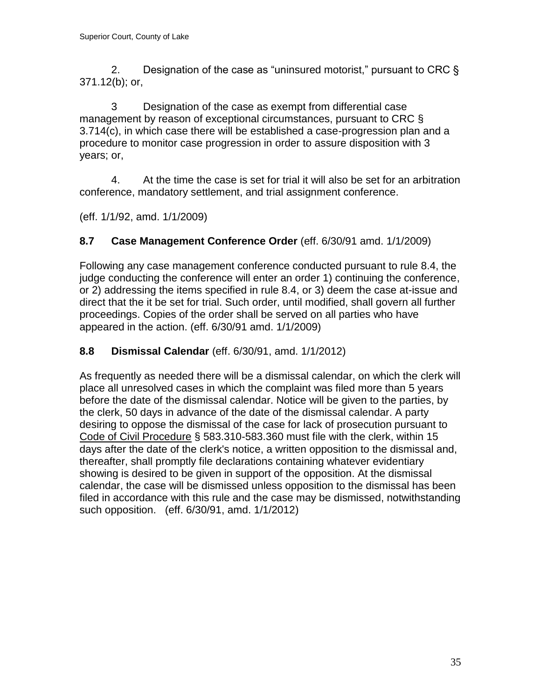2. Designation of the case as "uninsured motorist," pursuant to CRC § 371.12(b); or,

3 Designation of the case as exempt from differential case management by reason of exceptional circumstances, pursuant to CRC § 3.714(c), in which case there will be established a case-progression plan and a procedure to monitor case progression in order to assure disposition with 3 years; or,

4. At the time the case is set for trial it will also be set for an arbitration conference, mandatory settlement, and trial assignment conference.

(eff. 1/1/92, amd. 1/1/2009)

# <span id="page-34-0"></span>**8.7 Case Management Conference Order** (eff. 6/30/91 amd. 1/1/2009)

Following any case management conference conducted pursuant to rule 8.4, the judge conducting the conference will enter an order 1) continuing the conference, or 2) addressing the items specified in rule 8.4, or 3) deem the case at-issue and direct that the it be set for trial. Such order, until modified, shall govern all further proceedings. Copies of the order shall be served on all parties who have appeared in the action. (eff. 6/30/91 amd. 1/1/2009)

# <span id="page-34-1"></span>**8.8 Dismissal Calendar** (eff. 6/30/91, amd. 1/1/2012)

As frequently as needed there will be a dismissal calendar, on which the clerk will place all unresolved cases in which the complaint was filed more than 5 years before the date of the dismissal calendar. Notice will be given to the parties, by the clerk, 50 days in advance of the date of the dismissal calendar. A party desiring to oppose the dismissal of the case for lack of prosecution pursuant to Code of Civil Procedure § 583.310-583.360 must file with the clerk, within 15 days after the date of the clerk's notice, a written opposition to the dismissal and, thereafter, shall promptly file declarations containing whatever evidentiary showing is desired to be given in support of the opposition. At the dismissal calendar, the case will be dismissed unless opposition to the dismissal has been filed in accordance with this rule and the case may be dismissed, notwithstanding such opposition. (eff. 6/30/91, amd. 1/1/2012)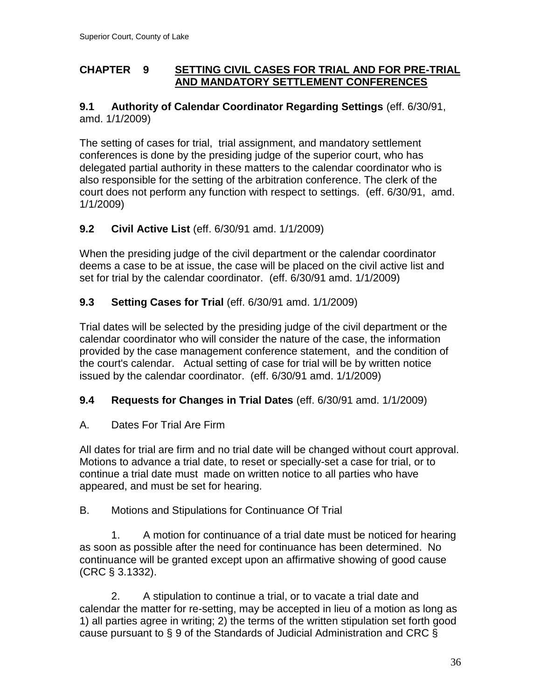### <span id="page-35-0"></span>**CHAPTER 9 SETTING CIVIL CASES FOR TRIAL AND FOR PRE-TRIAL AND MANDATORY SETTLEMENT CONFERENCES**

# <span id="page-35-1"></span>**9.1 Authority of Calendar Coordinator Regarding Settings** (eff. 6/30/91, amd. 1/1/2009)

The setting of cases for trial, trial assignment, and mandatory settlement conferences is done by the presiding judge of the superior court, who has delegated partial authority in these matters to the calendar coordinator who is also responsible for the setting of the arbitration conference. The clerk of the court does not perform any function with respect to settings. (eff. 6/30/91, amd. 1/1/2009)

# <span id="page-35-2"></span>**9.2 Civil Active List** (eff. 6/30/91 amd. 1/1/2009)

When the presiding judge of the civil department or the calendar coordinator deems a case to be at issue, the case will be placed on the civil active list and set for trial by the calendar coordinator. (eff. 6/30/91 amd. 1/1/2009)

# <span id="page-35-3"></span>**9.3 Setting Cases for Trial** (eff. 6/30/91 amd. 1/1/2009)

Trial dates will be selected by the presiding judge of the civil department or the calendar coordinator who will consider the nature of the case, the information provided by the case management conference statement, and the condition of the court's calendar. Actual setting of case for trial will be by written notice issued by the calendar coordinator. (eff. 6/30/91 amd. 1/1/2009)

# <span id="page-35-4"></span>**9.4 Requests for Changes in Trial Dates** (eff. 6/30/91 amd. 1/1/2009)

# A. Dates For Trial Are Firm

All dates for trial are firm and no trial date will be changed without court approval. Motions to advance a trial date, to reset or specially-set a case for trial, or to continue a trial date must made on written notice to all parties who have appeared, and must be set for hearing.

B. Motions and Stipulations for Continuance Of Trial

1. A motion for continuance of a trial date must be noticed for hearing as soon as possible after the need for continuance has been determined. No continuance will be granted except upon an affirmative showing of good cause (CRC § 3.1332).

2. A stipulation to continue a trial, or to vacate a trial date and calendar the matter for re-setting, may be accepted in lieu of a motion as long as 1) all parties agree in writing; 2) the terms of the written stipulation set forth good cause pursuant to § 9 of the Standards of Judicial Administration and CRC §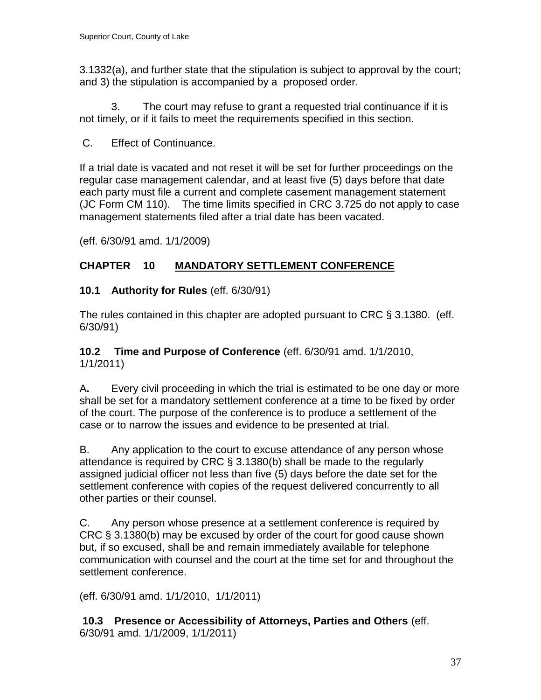3.1332(a), and further state that the stipulation is subject to approval by the court; and 3) the stipulation is accompanied by a proposed order.

3. The court may refuse to grant a requested trial continuance if it is not timely, or if it fails to meet the requirements specified in this section.

C. Effect of Continuance.

If a trial date is vacated and not reset it will be set for further proceedings on the regular case management calendar, and at least five (5) days before that date each party must file a current and complete casement management statement (JC Form CM 110). The time limits specified in CRC 3.725 do not apply to case management statements filed after a trial date has been vacated.

(eff. 6/30/91 amd. 1/1/2009)

# <span id="page-36-0"></span>**CHAPTER 10 MANDATORY SETTLEMENT CONFERENCE**

# <span id="page-36-1"></span>**10.1 Authority for Rules** (eff. 6/30/91)

The rules contained in this chapter are adopted pursuant to CRC § 3.1380. (eff. 6/30/91)

<span id="page-36-2"></span>**10.2 Time and Purpose of Conference** (eff. 6/30/91 amd. 1/1/2010, 1/1/2011)

A**.** Every civil proceeding in which the trial is estimated to be one day or more shall be set for a mandatory settlement conference at a time to be fixed by order of the court. The purpose of the conference is to produce a settlement of the case or to narrow the issues and evidence to be presented at trial.

B. Any application to the court to excuse attendance of any person whose attendance is required by CRC § 3.1380(b) shall be made to the regularly assigned judicial officer not less than five (5) days before the date set for the settlement conference with copies of the request delivered concurrently to all other parties or their counsel.

C. Any person whose presence at a settlement conference is required by CRC § 3.1380(b) may be excused by order of the court for good cause shown but, if so excused, shall be and remain immediately available for telephone communication with counsel and the court at the time set for and throughout the settlement conference.

(eff. 6/30/91 amd. 1/1/2010, 1/1/2011)

**10.3 Presence or Accessibility of Attorneys, Parties and Others** (eff. 6/30/91 amd. 1/1/2009, 1/1/2011)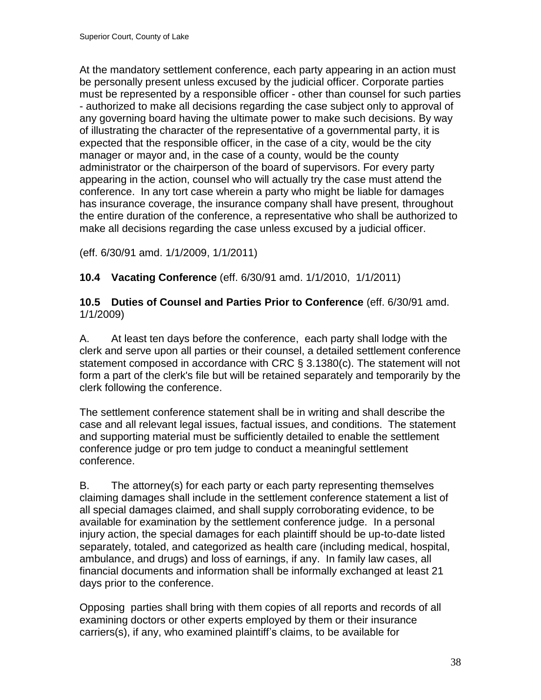At the mandatory settlement conference, each party appearing in an action must be personally present unless excused by the judicial officer. Corporate parties must be represented by a responsible officer - other than counsel for such parties - authorized to make all decisions regarding the case subject only to approval of any governing board having the ultimate power to make such decisions. By way of illustrating the character of the representative of a governmental party, it is expected that the responsible officer, in the case of a city, would be the city manager or mayor and, in the case of a county, would be the county administrator or the chairperson of the board of supervisors. For every party appearing in the action, counsel who will actually try the case must attend the conference. In any tort case wherein a party who might be liable for damages has insurance coverage, the insurance company shall have present, throughout the entire duration of the conference, a representative who shall be authorized to make all decisions regarding the case unless excused by a judicial officer.

(eff. 6/30/91 amd. 1/1/2009, 1/1/2011)

<span id="page-37-0"></span>**10.4 Vacating Conference** (eff. 6/30/91 amd. 1/1/2010, 1/1/2011)

### <span id="page-37-1"></span>**10.5 Duties of Counsel and Parties Prior to Conference** (eff. 6/30/91 amd. 1/1/2009)

A. At least ten days before the conference, each party shall lodge with the clerk and serve upon all parties or their counsel, a detailed settlement conference statement composed in accordance with CRC § 3.1380(c). The statement will not form a part of the clerk's file but will be retained separately and temporarily by the clerk following the conference.

The settlement conference statement shall be in writing and shall describe the case and all relevant legal issues, factual issues, and conditions. The statement and supporting material must be sufficiently detailed to enable the settlement conference judge or pro tem judge to conduct a meaningful settlement conference.

B. The attorney(s) for each party or each party representing themselves claiming damages shall include in the settlement conference statement a list of all special damages claimed, and shall supply corroborating evidence, to be available for examination by the settlement conference judge. In a personal injury action, the special damages for each plaintiff should be up-to-date listed separately, totaled, and categorized as health care (including medical, hospital, ambulance, and drugs) and loss of earnings, if any. In family law cases, all financial documents and information shall be informally exchanged at least 21 days prior to the conference.

Opposing parties shall bring with them copies of all reports and records of all examining doctors or other experts employed by them or their insurance carriers(s), if any, who examined plaintiff's claims, to be available for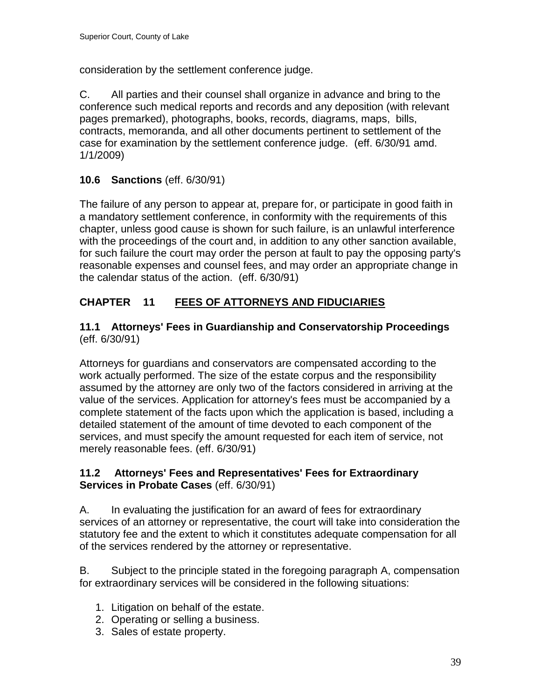consideration by the settlement conference judge.

C. All parties and their counsel shall organize in advance and bring to the conference such medical reports and records and any deposition (with relevant pages premarked), photographs, books, records, diagrams, maps, bills, contracts, memoranda, and all other documents pertinent to settlement of the case for examination by the settlement conference judge. (eff. 6/30/91 amd. 1/1/2009)

# <span id="page-38-0"></span>**10.6 Sanctions** (eff. 6/30/91)

The failure of any person to appear at, prepare for, or participate in good faith in a mandatory settlement conference, in conformity with the requirements of this chapter, unless good cause is shown for such failure, is an unlawful interference with the proceedings of the court and, in addition to any other sanction available, for such failure the court may order the person at fault to pay the opposing party's reasonable expenses and counsel fees, and may order an appropriate change in the calendar status of the action. (eff. 6/30/91)

# <span id="page-38-1"></span>**CHAPTER 11 FEES OF ATTORNEYS AND FIDUCIARIES**

# <span id="page-38-2"></span>**11.1 Attorneys' Fees in Guardianship and Conservatorship Proceedings** (eff. 6/30/91)

Attorneys for guardians and conservators are compensated according to the work actually performed. The size of the estate corpus and the responsibility assumed by the attorney are only two of the factors considered in arriving at the value of the services. Application for attorney's fees must be accompanied by a complete statement of the facts upon which the application is based, including a detailed statement of the amount of time devoted to each component of the services, and must specify the amount requested for each item of service, not merely reasonable fees. (eff. 6/30/91)

# <span id="page-38-3"></span>**11.2 Attorneys' Fees and Representatives' Fees for Extraordinary Services in Probate Cases** (eff. 6/30/91)

A. In evaluating the justification for an award of fees for extraordinary services of an attorney or representative, the court will take into consideration the statutory fee and the extent to which it constitutes adequate compensation for all of the services rendered by the attorney or representative.

B. Subject to the principle stated in the foregoing paragraph A, compensation for extraordinary services will be considered in the following situations:

- 1. Litigation on behalf of the estate.
- 2. Operating or selling a business.
- 3. Sales of estate property.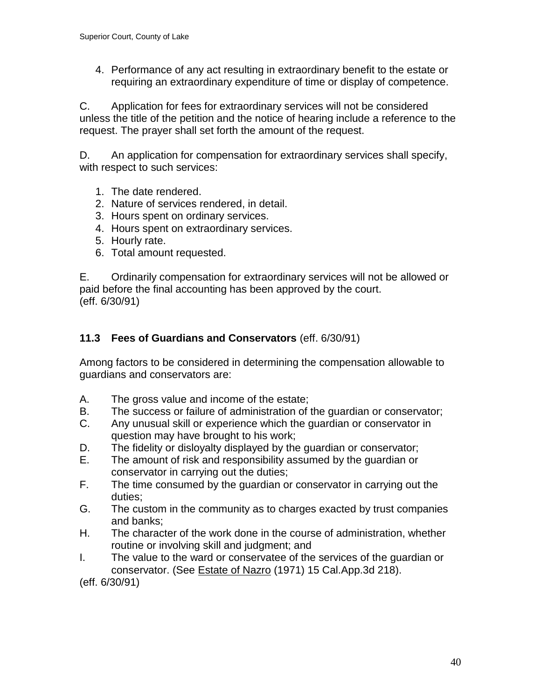4. Performance of any act resulting in extraordinary benefit to the estate or requiring an extraordinary expenditure of time or display of competence.

C. Application for fees for extraordinary services will not be considered unless the title of the petition and the notice of hearing include a reference to the request. The prayer shall set forth the amount of the request.

D. An application for compensation for extraordinary services shall specify, with respect to such services:

- 1. The date rendered.
- 2. Nature of services rendered, in detail.
- 3. Hours spent on ordinary services.
- 4. Hours spent on extraordinary services.
- 5. Hourly rate.
- 6. Total amount requested.

E. Ordinarily compensation for extraordinary services will not be allowed or paid before the final accounting has been approved by the court. (eff. 6/30/91)

# <span id="page-39-0"></span>**11.3 Fees of Guardians and Conservators** (eff. 6/30/91)

Among factors to be considered in determining the compensation allowable to guardians and conservators are:

- A. The gross value and income of the estate;
- B. The success or failure of administration of the guardian or conservator;
- C. Any unusual skill or experience which the guardian or conservator in question may have brought to his work;
- D. The fidelity or disloyalty displayed by the guardian or conservator;
- E. The amount of risk and responsibility assumed by the guardian or conservator in carrying out the duties;
- F. The time consumed by the guardian or conservator in carrying out the duties;
- G. The custom in the community as to charges exacted by trust companies and banks;
- H. The character of the work done in the course of administration, whether routine or involving skill and judgment; and
- I. The value to the ward or conservatee of the services of the guardian or conservator. (See Estate of Nazro (1971) 15 Cal.App.3d 218).

<span id="page-39-1"></span>(eff. 6/30/91)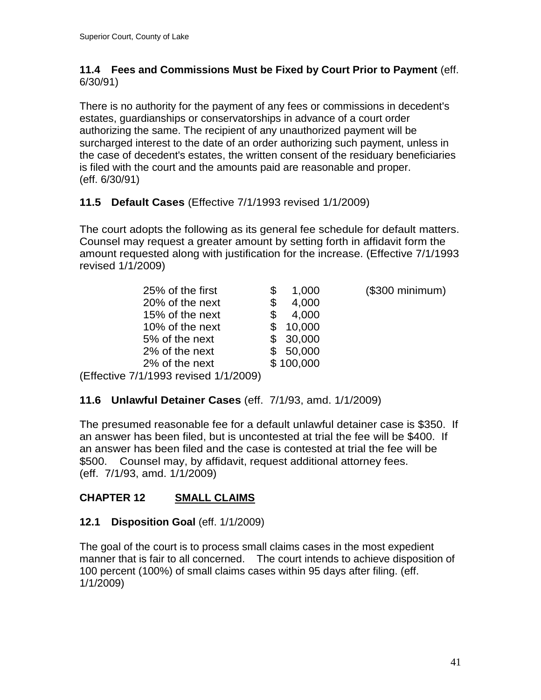### **11.4 Fees and Commissions Must be Fixed by Court Prior to Payment** (eff. 6/30/91)

There is no authority for the payment of any fees or commissions in decedent's estates, guardianships or conservatorships in advance of a court order authorizing the same. The recipient of any unauthorized payment will be surcharged interest to the date of an order authorizing such payment, unless in the case of decedent's estates, the written consent of the residuary beneficiaries is filed with the court and the amounts paid are reasonable and proper. (eff. 6/30/91)

# <span id="page-40-0"></span>**11.5 Default Cases** (Effective 7/1/1993 revised 1/1/2009)

The court adopts the following as its general fee schedule for default matters. Counsel may request a greater amount by setting forth in affidavit form the amount requested along with justification for the increase. (Effective 7/1/1993 revised 1/1/2009)

| 25% of the first              | 1,000     | (\$300 minimum) |
|-------------------------------|-----------|-----------------|
| 20% of the next               | 4,000     |                 |
| 15% of the next               | 4,000     |                 |
| 10% of the next               | 10,000    |                 |
| 5% of the next                | \$30,000  |                 |
| 2% of the next                | \$50,000  |                 |
| 2% of the next                | \$100,000 |                 |
| vo 7/1/1003 roviend 1/1/2000) |           |                 |

(Effective 7/1/1993 revised 1/1/2009)

# <span id="page-40-1"></span>**11.6 Unlawful Detainer Cases** (eff. 7/1/93, amd. 1/1/2009)

The presumed reasonable fee for a default unlawful detainer case is \$350. If an answer has been filed, but is uncontested at trial the fee will be \$400. If an answer has been filed and the case is contested at trial the fee will be \$500. Counsel may, by affidavit, request additional attorney fees. (eff. 7/1/93, amd. 1/1/2009)

# <span id="page-40-2"></span>**CHAPTER 12 SMALL CLAIMS**

# <span id="page-40-3"></span>**12.1 Disposition Goal** (eff. 1/1/2009)

<span id="page-40-4"></span>The goal of the court is to process small claims cases in the most expedient manner that is fair to all concerned. The court intends to achieve disposition of 100 percent (100%) of small claims cases within 95 days after filing. (eff. 1/1/2009)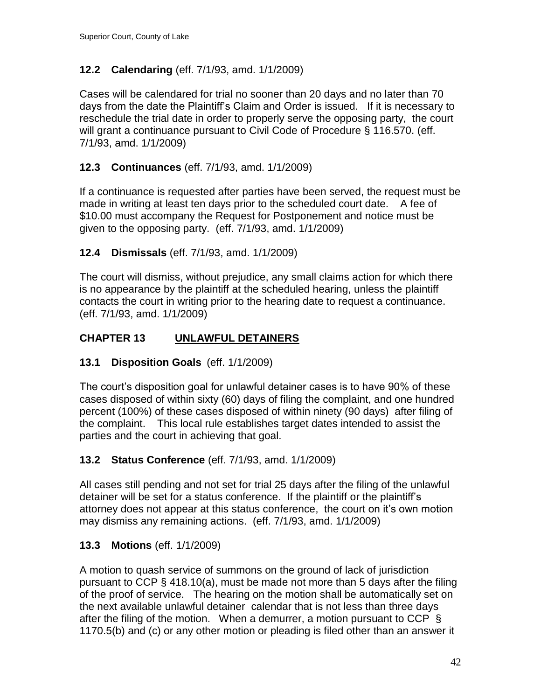# **12.2 Calendaring** (eff. 7/1/93, amd. 1/1/2009)

Cases will be calendared for trial no sooner than 20 days and no later than 70 days from the date the Plaintiff's Claim and Order is issued. If it is necessary to reschedule the trial date in order to properly serve the opposing party, the court will grant a continuance pursuant to Civil Code of Procedure § 116.570. (eff. 7/1/93, amd. 1/1/2009)

# <span id="page-41-0"></span>**12.3 Continuances** (eff. 7/1/93, amd. 1/1/2009)

If a continuance is requested after parties have been served, the request must be made in writing at least ten days prior to the scheduled court date. A fee of \$10.00 must accompany the Request for Postponement and notice must be given to the opposing party. (eff. 7/1/93, amd. 1/1/2009)

# <span id="page-41-1"></span>**12.4 Dismissals** (eff. 7/1/93, amd. 1/1/2009)

The court will dismiss, without prejudice, any small claims action for which there is no appearance by the plaintiff at the scheduled hearing, unless the plaintiff contacts the court in writing prior to the hearing date to request a continuance. (eff. 7/1/93, amd. 1/1/2009)

# <span id="page-41-2"></span>**CHAPTER 13 UNLAWFUL DETAINERS**

# <span id="page-41-3"></span>**13.1 Disposition Goals** (eff. 1/1/2009)

The court's disposition goal for unlawful detainer cases is to have 90% of these cases disposed of within sixty (60) days of filing the complaint, and one hundred percent (100%) of these cases disposed of within ninety (90 days) after filing of the complaint. This local rule establishes target dates intended to assist the parties and the court in achieving that goal.

# <span id="page-41-4"></span>**13.2 Status Conference** (eff. 7/1/93, amd. 1/1/2009)

All cases still pending and not set for trial 25 days after the filing of the unlawful detainer will be set for a status conference. If the plaintiff or the plaintiff's attorney does not appear at this status conference, the court on it's own motion may dismiss any remaining actions. (eff. 7/1/93, amd. 1/1/2009)

# <span id="page-41-5"></span>**13.3 Motions** (eff. 1/1/2009)

A motion to quash service of summons on the ground of lack of jurisdiction pursuant to CCP § 418.10(a), must be made not more than 5 days after the filing of the proof of service. The hearing on the motion shall be automatically set on the next available unlawful detainer calendar that is not less than three days after the filing of the motion. When a demurrer, a motion pursuant to CCP  $\S$ 1170.5(b) and (c) or any other motion or pleading is filed other than an answer it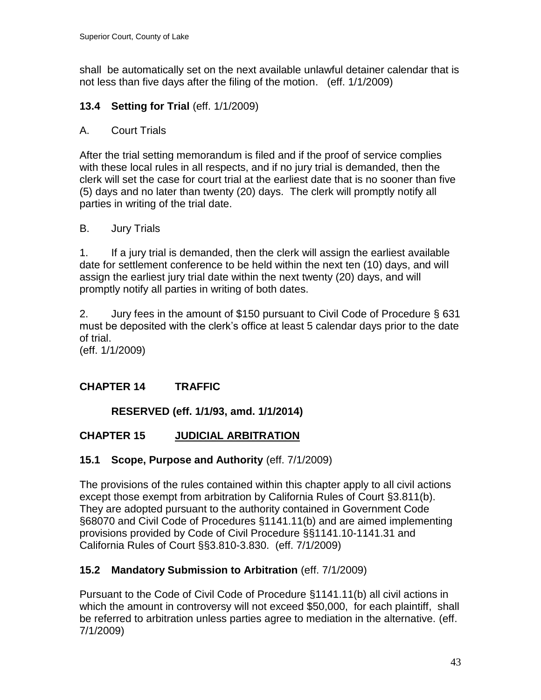shall be automatically set on the next available unlawful detainer calendar that is not less than five days after the filing of the motion. (eff. 1/1/2009)

# <span id="page-42-0"></span>**13.4 Setting for Trial** (eff. 1/1/2009)

# A. Court Trials

After the trial setting memorandum is filed and if the proof of service complies with these local rules in all respects, and if no jury trial is demanded, then the clerk will set the case for court trial at the earliest date that is no sooner than five (5) days and no later than twenty (20) days. The clerk will promptly notify all parties in writing of the trial date.

# B. Jury Trials

1. If a jury trial is demanded, then the clerk will assign the earliest available date for settlement conference to be held within the next ten (10) days, and will assign the earliest jury trial date within the next twenty (20) days, and will promptly notify all parties in writing of both dates.

2. Jury fees in the amount of \$150 pursuant to Civil Code of Procedure § 631 must be deposited with the clerk's office at least 5 calendar days prior to the date of trial.

(eff. 1/1/2009)

# <span id="page-42-1"></span>**CHAPTER 14 TRAFFIC**

# **RESERVED (eff. 1/1/93, amd. 1/1/2014)**

# <span id="page-42-3"></span><span id="page-42-2"></span>**CHAPTER 15 JUDICIAL ARBITRATION**

# <span id="page-42-4"></span>**15.1 Scope, Purpose and Authority** (eff. 7/1/2009)

The provisions of the rules contained within this chapter apply to all civil actions except those exempt from arbitration by California Rules of Court §3.811(b). They are adopted pursuant to the authority contained in Government Code §68070 and Civil Code of Procedures §1141.11(b) and are aimed implementing provisions provided by Code of Civil Procedure §§1141.10-1141.31 and California Rules of Court §§3.810-3.830. (eff. 7/1/2009)

# <span id="page-42-5"></span>**15.2 Mandatory Submission to Arbitration** (eff. 7/1/2009)

Pursuant to the Code of Civil Code of Procedure §1141.11(b) all civil actions in which the amount in controversy will not exceed \$50,000, for each plaintiff, shall be referred to arbitration unless parties agree to mediation in the alternative. (eff. 7/1/2009)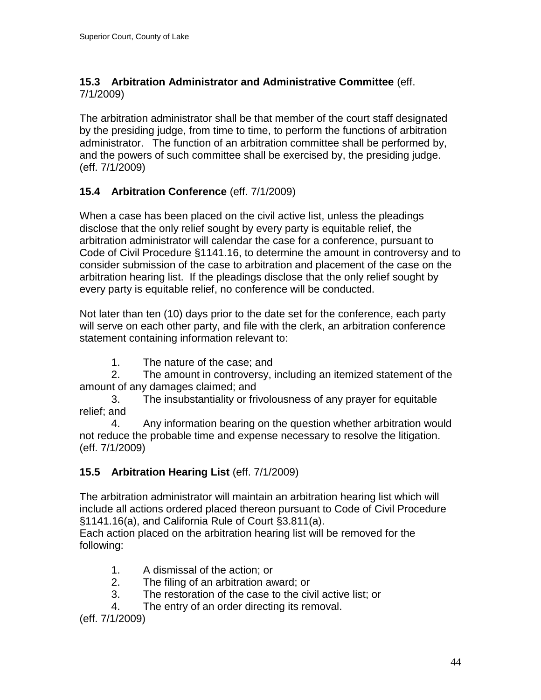# <span id="page-43-0"></span>**15.3 Arbitration Administrator and Administrative Committee** (eff. 7/1/2009)

The arbitration administrator shall be that member of the court staff designated by the presiding judge, from time to time, to perform the functions of arbitration administrator. The function of an arbitration committee shall be performed by, and the powers of such committee shall be exercised by, the presiding judge. (eff. 7/1/2009)

# <span id="page-43-1"></span>**15.4 Arbitration Conference** (eff. 7/1/2009)

When a case has been placed on the civil active list, unless the pleadings disclose that the only relief sought by every party is equitable relief, the arbitration administrator will calendar the case for a conference, pursuant to Code of Civil Procedure §1141.16, to determine the amount in controversy and to consider submission of the case to arbitration and placement of the case on the arbitration hearing list. If the pleadings disclose that the only relief sought by every party is equitable relief, no conference will be conducted.

Not later than ten (10) days prior to the date set for the conference, each party will serve on each other party, and file with the clerk, an arbitration conference statement containing information relevant to:

1. The nature of the case; and

2. The amount in controversy, including an itemized statement of the amount of any damages claimed; and

3. The insubstantiality or frivolousness of any prayer for equitable relief; and

4. Any information bearing on the question whether arbitration would not reduce the probable time and expense necessary to resolve the litigation. (eff. 7/1/2009)

# <span id="page-43-2"></span>**15.5 Arbitration Hearing List** (eff. 7/1/2009)

The arbitration administrator will maintain an arbitration hearing list which will include all actions ordered placed thereon pursuant to Code of Civil Procedure §1141.16(a), and California Rule of Court §3.811(a).

Each action placed on the arbitration hearing list will be removed for the following:

- 1. A dismissal of the action; or
- 2. The filing of an arbitration award; or
- 3. The restoration of the case to the civil active list; or
- 4. The entry of an order directing its removal.

(eff. 7/1/2009)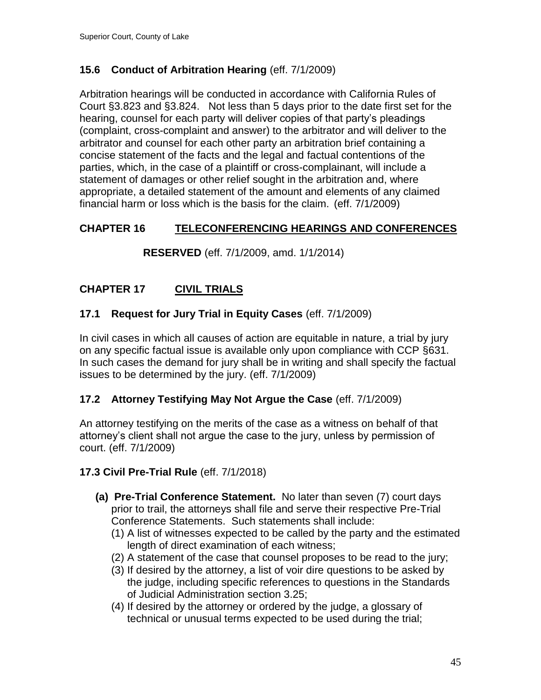# <span id="page-44-0"></span>**15.6 Conduct of Arbitration Hearing** (eff. 7/1/2009)

Arbitration hearings will be conducted in accordance with California Rules of Court §3.823 and §3.824. Not less than 5 days prior to the date first set for the hearing, counsel for each party will deliver copies of that party's pleadings (complaint, cross-complaint and answer) to the arbitrator and will deliver to the arbitrator and counsel for each other party an arbitration brief containing a concise statement of the facts and the legal and factual contentions of the parties, which, in the case of a plaintiff or cross-complainant, will include a statement of damages or other relief sought in the arbitration and, where appropriate, a detailed statement of the amount and elements of any claimed financial harm or loss which is the basis for the claim. (eff. 7/1/2009)

# <span id="page-44-2"></span><span id="page-44-1"></span>**CHAPTER 16 TELECONFERENCING HEARINGS AND CONFERENCES**

**RESERVED** (eff. 7/1/2009, amd. 1/1/2014)

# <span id="page-44-3"></span>**CHAPTER 17 CIVIL TRIALS**

# <span id="page-44-4"></span>**17.1 Request for Jury Trial in Equity Cases** (eff. 7/1/2009)

In civil cases in which all causes of action are equitable in nature, a trial by jury on any specific factual issue is available only upon compliance with CCP §631. In such cases the demand for jury shall be in writing and shall specify the factual issues to be determined by the jury. (eff. 7/1/2009)

# <span id="page-44-5"></span>**17.2 Attorney Testifying May Not Argue the Case** (eff. 7/1/2009)

An attorney testifying on the merits of the case as a witness on behalf of that attorney's client shall not argue the case to the jury, unless by permission of court. (eff. 7/1/2009)

#### **17.3 Civil Pre-Trial Rule** (eff. 7/1/2018)

- **(a) Pre-Trial Conference Statement.** No later than seven (7) court days prior to trail, the attorneys shall file and serve their respective Pre-Trial Conference Statements. Such statements shall include:
	- (1) A list of witnesses expected to be called by the party and the estimated length of direct examination of each witness;
	- (2) A statement of the case that counsel proposes to be read to the jury;
	- (3) If desired by the attorney, a list of voir dire questions to be asked by the judge, including specific references to questions in the Standards of Judicial Administration section 3.25;
	- (4) If desired by the attorney or ordered by the judge, a glossary of technical or unusual terms expected to be used during the trial;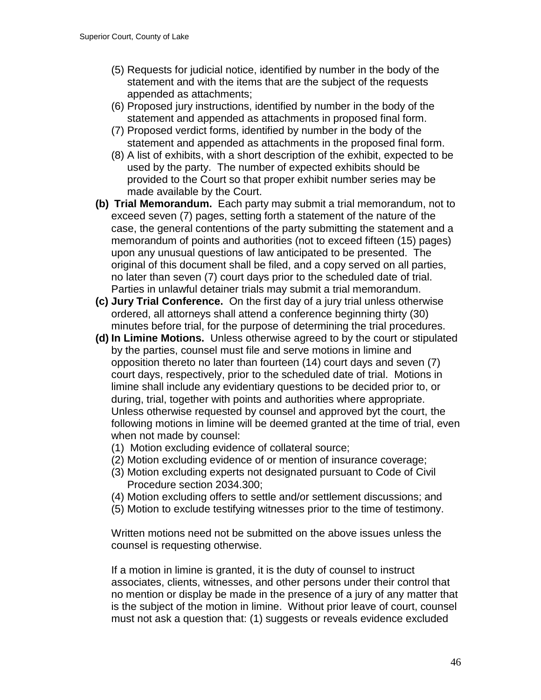- (5) Requests for judicial notice, identified by number in the body of the statement and with the items that are the subject of the requests appended as attachments;
- (6) Proposed jury instructions, identified by number in the body of the statement and appended as attachments in proposed final form.
- (7) Proposed verdict forms, identified by number in the body of the statement and appended as attachments in the proposed final form.
- (8) A list of exhibits, with a short description of the exhibit, expected to be used by the party. The number of expected exhibits should be provided to the Court so that proper exhibit number series may be made available by the Court.
- **(b) Trial Memorandum.** Each party may submit a trial memorandum, not to exceed seven (7) pages, setting forth a statement of the nature of the case, the general contentions of the party submitting the statement and a memorandum of points and authorities (not to exceed fifteen (15) pages) upon any unusual questions of law anticipated to be presented. The original of this document shall be filed, and a copy served on all parties, no later than seven (7) court days prior to the scheduled date of trial. Parties in unlawful detainer trials may submit a trial memorandum.
- **(c) Jury Trial Conference.** On the first day of a jury trial unless otherwise ordered, all attorneys shall attend a conference beginning thirty (30) minutes before trial, for the purpose of determining the trial procedures.
- **(d) In Limine Motions.** Unless otherwise agreed to by the court or stipulated by the parties, counsel must file and serve motions in limine and opposition thereto no later than fourteen (14) court days and seven (7) court days, respectively, prior to the scheduled date of trial. Motions in limine shall include any evidentiary questions to be decided prior to, or during, trial, together with points and authorities where appropriate. Unless otherwise requested by counsel and approved byt the court, the following motions in limine will be deemed granted at the time of trial, even when not made by counsel:
	- (1) Motion excluding evidence of collateral source;
	- (2) Motion excluding evidence of or mention of insurance coverage;
	- (3) Motion excluding experts not designated pursuant to Code of Civil Procedure section 2034.300;
	- (4) Motion excluding offers to settle and/or settlement discussions; and
	- (5) Motion to exclude testifying witnesses prior to the time of testimony.

Written motions need not be submitted on the above issues unless the counsel is requesting otherwise.

If a motion in limine is granted, it is the duty of counsel to instruct associates, clients, witnesses, and other persons under their control that no mention or display be made in the presence of a jury of any matter that is the subject of the motion in limine. Without prior leave of court, counsel must not ask a question that: (1) suggests or reveals evidence excluded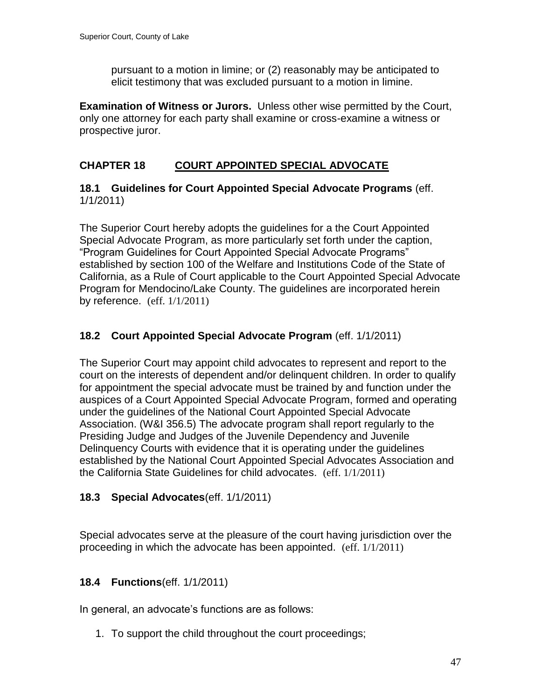pursuant to a motion in limine; or (2) reasonably may be anticipated to elicit testimony that was excluded pursuant to a motion in limine.

**Examination of Witness or Jurors.** Unless other wise permitted by the Court, only one attorney for each party shall examine or cross-examine a witness or prospective juror.

# <span id="page-46-0"></span>**CHAPTER 18 COURT APPOINTED SPECIAL ADVOCATE**

<span id="page-46-1"></span>**18.1 Guidelines for Court Appointed Special Advocate Programs** (eff. 1/1/2011)

The Superior Court hereby adopts the guidelines for a the Court Appointed Special Advocate Program, as more particularly set forth under the caption, "Program Guidelines for Court Appointed Special Advocate Programs" established by section 100 of the Welfare and Institutions Code of the State of California, as a Rule of Court applicable to the Court Appointed Special Advocate Program for Mendocino/Lake County. The guidelines are incorporated herein by reference. (eff. 1/1/2011)

# <span id="page-46-2"></span>**18.2 Court Appointed Special Advocate Program** (eff. 1/1/2011)

The Superior Court may appoint child advocates to represent and report to the court on the interests of dependent and/or delinquent children. In order to qualify for appointment the special advocate must be trained by and function under the auspices of a Court Appointed Special Advocate Program, formed and operating under the guidelines of the National Court Appointed Special Advocate Association. (W&I 356.5) The advocate program shall report regularly to the Presiding Judge and Judges of the Juvenile Dependency and Juvenile Delinquency Courts with evidence that it is operating under the guidelines established by the National Court Appointed Special Advocates Association and the California State Guidelines for child advocates. (eff. 1/1/2011)

#### <span id="page-46-3"></span>**18.3 Special Advocates**(eff. 1/1/2011)

Special advocates serve at the pleasure of the court having jurisdiction over the proceeding in which the advocate has been appointed. (eff. 1/1/2011)

# <span id="page-46-4"></span>**18.4 Functions**(eff. 1/1/2011)

In general, an advocate's functions are as follows:

1. To support the child throughout the court proceedings;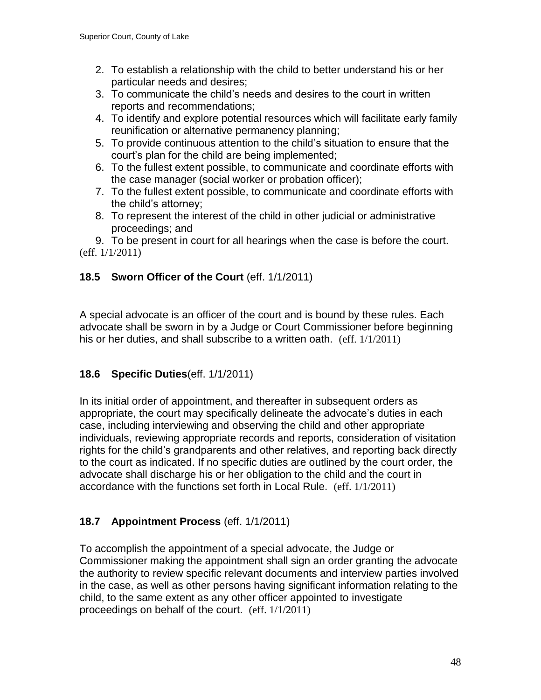- 2. To establish a relationship with the child to better understand his or her particular needs and desires;
- 3. To communicate the child's needs and desires to the court in written reports and recommendations;
- 4. To identify and explore potential resources which will facilitate early family reunification or alternative permanency planning;
- 5. To provide continuous attention to the child's situation to ensure that the court's plan for the child are being implemented;
- 6. To the fullest extent possible, to communicate and coordinate efforts with the case manager (social worker or probation officer);
- 7. To the fullest extent possible, to communicate and coordinate efforts with the child's attorney;
- 8. To represent the interest of the child in other judicial or administrative proceedings; and

9. To be present in court for all hearings when the case is before the court. (eff. 1/1/2011)

# <span id="page-47-0"></span>**18.5 Sworn Officer of the Court** (eff. 1/1/2011)

A special advocate is an officer of the court and is bound by these rules. Each advocate shall be sworn in by a Judge or Court Commissioner before beginning his or her duties, and shall subscribe to a written oath. (eff. 1/1/2011)

# <span id="page-47-1"></span>**18.6 Specific Duties**(eff. 1/1/2011)

In its initial order of appointment, and thereafter in subsequent orders as appropriate, the court may specifically delineate the advocate's duties in each case, including interviewing and observing the child and other appropriate individuals, reviewing appropriate records and reports, consideration of visitation rights for the child's grandparents and other relatives, and reporting back directly to the court as indicated. If no specific duties are outlined by the court order, the advocate shall discharge his or her obligation to the child and the court in accordance with the functions set forth in Local Rule. (eff. 1/1/2011)

# <span id="page-47-2"></span>**18.7 Appointment Process** (eff. 1/1/2011)

To accomplish the appointment of a special advocate, the Judge or Commissioner making the appointment shall sign an order granting the advocate the authority to review specific relevant documents and interview parties involved in the case, as well as other persons having significant information relating to the child, to the same extent as any other officer appointed to investigate proceedings on behalf of the court. (eff. 1/1/2011)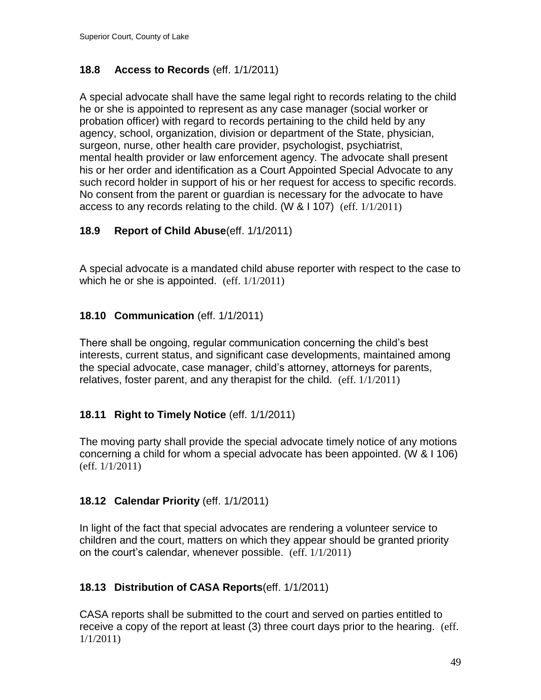# <span id="page-48-0"></span>**18.8 Access to Records** (eff. 1/1/2011)

A special advocate shall have the same legal right to records relating to the child he or she is appointed to represent as any case manager (social worker or probation officer) with regard to records pertaining to the child held by any agency, school, organization, division or department of the State, physician, surgeon, nurse, other health care provider, psychologist, psychiatrist, mental health provider or law enforcement agency. The advocate shall present his or her order and identification as a Court Appointed Special Advocate to any such record holder in support of his or her request for access to specific records. No consent from the parent or guardian is necessary for the advocate to have access to any records relating to the child. (W & I 107) (eff. 1/1/2011)

# <span id="page-48-1"></span>**18.9 Report of Child Abuse**(eff. 1/1/2011)

A special advocate is a mandated child abuse reporter with respect to the case to which he or she is appointed. (eff. 1/1/2011)

# <span id="page-48-2"></span>**18.10 Communication** (eff. 1/1/2011)

There shall be ongoing, regular communication concerning the child's best interests, current status, and significant case developments, maintained among the special advocate, case manager, child's attorney, attorneys for parents, relatives, foster parent, and any therapist for the child. (eff. 1/1/2011)

# <span id="page-48-3"></span>**18.11 Right to Timely Notice** (eff. 1/1/2011)

The moving party shall provide the special advocate timely notice of any motions concerning a child for whom a special advocate has been appointed. (W & I 106) (eff. 1/1/2011)

# <span id="page-48-4"></span>**18.12 Calendar Priority** (eff. 1/1/2011)

In light of the fact that special advocates are rendering a volunteer service to children and the court, matters on which they appear should be granted priority on the court's calendar, whenever possible. (eff. 1/1/2011)

# <span id="page-48-5"></span>**18.13 Distribution of CASA Reports**(eff. 1/1/2011)

CASA reports shall be submitted to the court and served on parties entitled to receive a copy of the report at least (3) three court days prior to the hearing. (eff. 1/1/2011)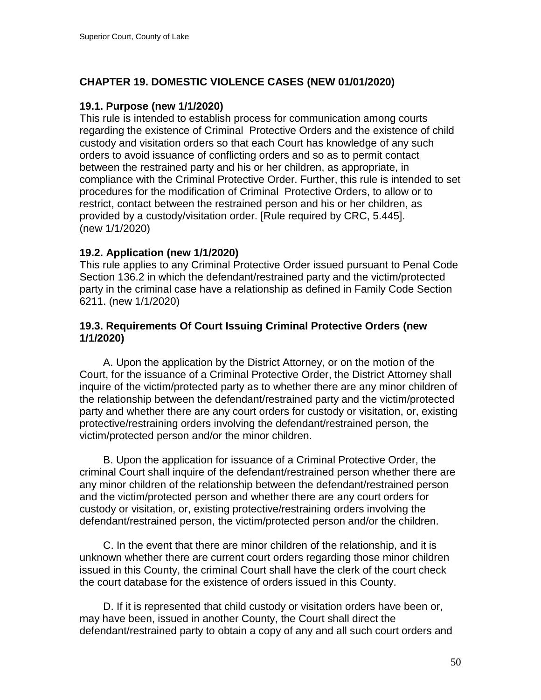# **CHAPTER 19. DOMESTIC VIOLENCE CASES (NEW 01/01/2020)**

### **19.1. Purpose (new 1/1/2020)**

This rule is intended to establish process for communication among courts regarding the existence of Criminal Protective Orders and the existence of child custody and visitation orders so that each Court has knowledge of any such orders to avoid issuance of conflicting orders and so as to permit contact between the restrained party and his or her children, as appropriate, in compliance with the Criminal Protective Order. Further, this rule is intended to set procedures for the modification of Criminal Protective Orders, to allow or to restrict, contact between the restrained person and his or her children, as provided by a custody/visitation order. [Rule required by CRC, 5.445]. (new 1/1/2020)

### **19.2. Application (new 1/1/2020)**

This rule applies to any Criminal Protective Order issued pursuant to Penal Code Section 136.2 in which the defendant/restrained party and the victim/protected party in the criminal case have a relationship as defined in Family Code Section 6211. (new 1/1/2020)

### **19.3. Requirements Of Court Issuing Criminal Protective Orders (new 1/1/2020)**

 A. Upon the application by the District Attorney, or on the motion of the Court, for the issuance of a Criminal Protective Order, the District Attorney shall inquire of the victim/protected party as to whether there are any minor children of the relationship between the defendant/restrained party and the victim/protected party and whether there are any court orders for custody or visitation, or, existing protective/restraining orders involving the defendant/restrained person, the victim/protected person and/or the minor children.

 B. Upon the application for issuance of a Criminal Protective Order, the criminal Court shall inquire of the defendant/restrained person whether there are any minor children of the relationship between the defendant/restrained person and the victim/protected person and whether there are any court orders for custody or visitation, or, existing protective/restraining orders involving the defendant/restrained person, the victim/protected person and/or the children.

 C. In the event that there are minor children of the relationship, and it is unknown whether there are current court orders regarding those minor children issued in this County, the criminal Court shall have the clerk of the court check the court database for the existence of orders issued in this County.

 D. If it is represented that child custody or visitation orders have been or, may have been, issued in another County, the Court shall direct the defendant/restrained party to obtain a copy of any and all such court orders and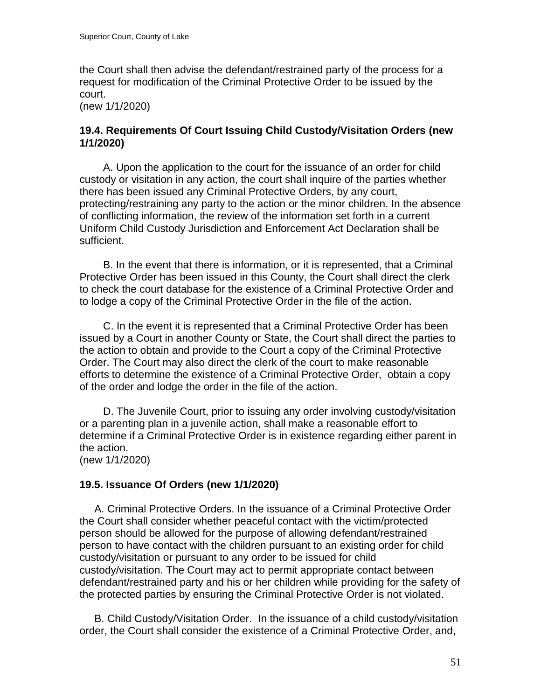the Court shall then advise the defendant/restrained party of the process for a request for modification of the Criminal Protective Order to be issued by the court.

(new 1/1/2020)

#### **19.4. Requirements Of Court Issuing Child Custody/Visitation Orders (new 1/1/2020)**

 A. Upon the application to the court for the issuance of an order for child custody or visitation in any action, the court shall inquire of the parties whether there has been issued any Criminal Protective Orders, by any court, protecting/restraining any party to the action or the minor children. In the absence of conflicting information, the review of the information set forth in a current Uniform Child Custody Jurisdiction and Enforcement Act Declaration shall be sufficient.

 B. In the event that there is information, or it is represented, that a Criminal Protective Order has been issued in this County, the Court shall direct the clerk to check the court database for the existence of a Criminal Protective Order and to lodge a copy of the Criminal Protective Order in the file of the action.

 C. In the event it is represented that a Criminal Protective Order has been issued by a Court in another County or State, the Court shall direct the parties to the action to obtain and provide to the Court a copy of the Criminal Protective Order. The Court may also direct the clerk of the court to make reasonable efforts to determine the existence of a Criminal Protective Order, obtain a copy of the order and lodge the order in the file of the action.

 D. The Juvenile Court, prior to issuing any order involving custody/visitation or a parenting plan in a juvenile action, shall make a reasonable effort to determine if a Criminal Protective Order is in existence regarding either parent in the action.

(new 1/1/2020)

# **19.5. Issuance Of Orders (new 1/1/2020)**

 A. Criminal Protective Orders. In the issuance of a Criminal Protective Order the Court shall consider whether peaceful contact with the victim/protected person should be allowed for the purpose of allowing defendant/restrained person to have contact with the children pursuant to an existing order for child custody/visitation or pursuant to any order to be issued for child custody/visitation. The Court may act to permit appropriate contact between defendant/restrained party and his or her children while providing for the safety of the protected parties by ensuring the Criminal Protective Order is not violated.

 B. Child Custody/Visitation Order. In the issuance of a child custody/visitation order, the Court shall consider the existence of a Criminal Protective Order, and,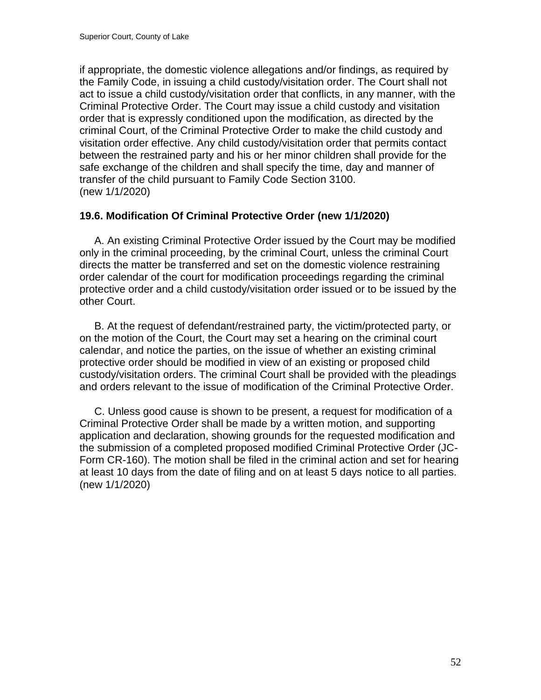if appropriate, the domestic violence allegations and/or findings, as required by the Family Code, in issuing a child custody/visitation order. The Court shall not act to issue a child custody/visitation order that conflicts, in any manner, with the Criminal Protective Order. The Court may issue a child custody and visitation order that is expressly conditioned upon the modification, as directed by the criminal Court, of the Criminal Protective Order to make the child custody and visitation order effective. Any child custody/visitation order that permits contact between the restrained party and his or her minor children shall provide for the safe exchange of the children and shall specify the time, day and manner of transfer of the child pursuant to Family Code Section 3100. (new 1/1/2020)

# **19.6. Modification Of Criminal Protective Order (new 1/1/2020)**

 A. An existing Criminal Protective Order issued by the Court may be modified only in the criminal proceeding, by the criminal Court, unless the criminal Court directs the matter be transferred and set on the domestic violence restraining order calendar of the court for modification proceedings regarding the criminal protective order and a child custody/visitation order issued or to be issued by the other Court.

 B. At the request of defendant/restrained party, the victim/protected party, or on the motion of the Court, the Court may set a hearing on the criminal court calendar, and notice the parties, on the issue of whether an existing criminal protective order should be modified in view of an existing or proposed child custody/visitation orders. The criminal Court shall be provided with the pleadings and orders relevant to the issue of modification of the Criminal Protective Order.

 C. Unless good cause is shown to be present, a request for modification of a Criminal Protective Order shall be made by a written motion, and supporting application and declaration, showing grounds for the requested modification and the submission of a completed proposed modified Criminal Protective Order (JC-Form CR-160). The motion shall be filed in the criminal action and set for hearing at least 10 days from the date of filing and on at least 5 days notice to all parties. (new 1/1/2020)